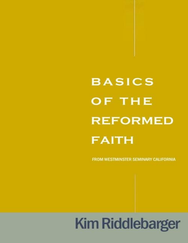# **BASICS** OF THE **REFORMED FAITH**

FROM WESTMINSTER SEMINARY CALIFORNIA

## **Kim Riddlebarger**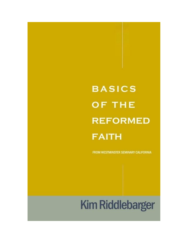## **BASICS** OF THE **REFORMED FAITH**

FROM WESTMINSTER SEMINARY CALIFORNIA

### **Kim Riddlebarger**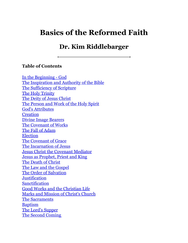### **Basics of the Reformed Faith**

### **Dr. Kim Riddlebarger**

#### **Table of Contents**

In the [Beginning](#page-4-0) - God The [Inspiration](#page-5-0) and Authority of the Bible The [Sufficiency](#page-7-0) of Scripture The Holy [Trinity](#page-9-0) The Deity of Jesus [Christ](#page-11-0) The [Person](#page-14-0) and Work of the Holy Spirit God's [Attributes](#page-31-0) **[Creation](#page-16-0)** Divine Image [Bearers](#page-33-0) The [Covenant](#page-18-0) of Works The Fall of [Adam](#page-21-0) [Election](#page-46-0) The [Covenant](#page-23-0) of Grace The [Incarnation](#page-25-0) of Jesus Jesus Christ the [Covenant](#page-28-0) Mediator Jesus as [Prophet,](#page-35-0) Priest and King The Death of [Christ](#page-38-0) The Law and the [Gospel](#page-40-0) The Order of [Salvation](#page-43-0) **[Justification](#page-48-0) [Sanctification](#page-51-0)** Good Works and the [Christian](#page-53-0) Life Marks and [Mission](#page-56-0) of Christ's Church The [Sacraments](#page-59-0) [Baptism](#page-62-0) The Lord's [Supper](#page-64-0) The Second [Coming](#page-67-0)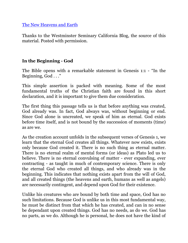The New [Heavens](#page-70-0) and Earth

Thanks to the Westminster Seminary California Blog, the source of this material. Posted with permission.

#### <span id="page-4-0"></span>**In the Beginning - God**

The Bible opens with a remarkable statement in Genesis 1:1 - "In the Beginning, God . . ."

This simple assertion is packed with meaning. Some of the most fundamental truths of the Christian faith are found in this short declaration, and it is important to give them due consideration.

The first thing this passage tells us is that before anything was created, God already was. In fact, God always was, without beginning or end. Since God alone is uncreated, we speak of him as eternal. God exists before time itself, and is not bound by the succession of moments (time) as are we.

As the creation account unfolds in the subsequent verses of Genesis 1, we learn that the eternal God creates all things. Whatever now exists, exists only because God created it. There is no such thing as eternal matter. There is no eternal realm of mental forms (or ideas) as Plato led us to believe. There is no eternal convulsing of matter - ever expanding, ever contracting - as taught in much of contemporary science. There is only the eternal God who created all things, and who already was in the beginning. This indicates that nothing exists apart from the will of God, and all created things (the heavens and earth, humans as well as angels) are necessarily contingent, and depend upon God for their existence.

Unlike his creatures who are bound by both time and space, God has no such limitations. Because God is unlike us in this most fundamental way, he must be distinct from that which he has created, and can in no sense be dependant upon created things. God has no needs, as do we. God has no parts, as we do. Although he is personal, he does not have the kind of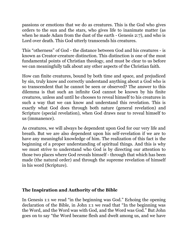passions or emotions that we do as creatures. This is the God who gives orders to the sun and the stars, who gives life to inanimate matter (as when he made Adam from the dust of the earth - Genesis 2:7), and who is Lord over death. This God utterly transcends his creatures.

This "otherness" of God - the distance between God and his creatures - is known as Creator-creature distinction. This distinction is one of the most fundamental points of Christian theology, and must be clear to us before we can meaningfully talk about any other aspects of the Christian faith.

How can finite creatures, bound by both time and space, and prejudiced by sin, truly know and correctly understand anything about a God who is so transcendent that he cannot be seen or observed? The answer to this dilemma is that such an infinite God cannot be known by his finite creatures, unless and until he chooses to reveal himself to his creatures in such a way that we can know and understand this revelation. This is exactly what God does through both nature (general revelation) and Scripture (special revelation), when God draws near to reveal himself to us (immanence).

As creatures, we will always be dependent upon God for our very life and breath. But we are also dependent upon his self-revelation if we are to have any meaningful knowledge of him. The realization of this fact is the beginning of a proper understanding of spiritual things. And this is why we must strive to understand who God is by directing our attention to those two places where God reveals himself - through that which has been made (the natural order) and through the supreme revelation of himself in his word (Scripture).

#### <span id="page-5-0"></span>**The Inspiration and Authority of the Bible**

In Genesis 1:1 we read "in the beginning was God." Echoing the opening declaration of the Bible, in John 1:1 we read that "In the beginning was the Word, and the Word was with God, and the Word was God." But John goes on to say "the Word became flesh and dwelt among us, and we have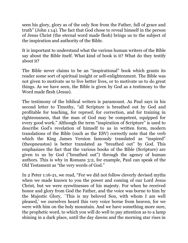seen his glory, glory as of the only Son from the Father, full of grace and truth" (John 1:14). The fact that God chose to reveal himself in the person of Jesus Christ (the eternal word made flesh) brings us to the subject of the inspiration and authority of the Bible.

It is important to understand what the various human writers of the Bible say about the Bible itself. What kind of book is it? What do they testify about it?

The Bible never claims to be an "inspirational" book which grants its reader some sort of spiritual insight or self-enlightenment. The Bible was not given to motivate us to live better lives, or to motivate us to do great things. As we have seen, the Bible is given by God as a testimony to the Word made flesh (Jesus).

The testimony of the biblical writers is paramount. As Paul says in his second letter to Timothy, "all Scripture is breathed out by God and profitable for teaching, for reproof, for correction, and for training in righteousness, that the man of God may be competent, equipped for every good work." Although the term "inspiration of Scripture" is used to describe God's revelation of himself to us in written form, modern translations of the Bible (such as the ESV) correctly note that the verb which the King James Version famously translated as "inspired" (theopneustos) is better translated as "breathed out" by God. This emphasizes the fact that the various books of the Bible (Scripture) are given to us by God ("breathed out") through the agency of human authors. This is why in Romans 3:2, for example, Paul can speak of the Old Testament as "the very words of God."

In 2 Peter 1:16-21, we read, "For we did not follow cleverly devised myths when we made known to you the power and coming of our Lord Jesus Christ, but we were eyewitnesses of his majesty. For when he received honor and glory from God the Father, and the voice was borne to him by the Majestic Glory, `This is my beloved Son, with whom I am well pleased,' we ourselves heard this very voice borne from heaven, for we were with him on the holy mountain. And we have something more sure, the prophetic word, to which you will do well to pay attention as to a lamp shining in a dark place, until the day dawns and the morning star rises in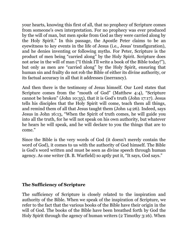your hearts, knowing this first of all, that no prophecy of Scripture comes from someone's own interpretation. For no prophecy was ever produced by the will of man, but men spoke from God as they were carried along by the Holy Spirit." In this passage, the Apostle Peter claims to be an eyewitness to key events in the life of Jesus (i.e., Jesus' transfiguration), and he denies inventing or following myths. For Peter, Scripture is the product of men being "carried along" by the Holy Spirit. Scripture does not arise in the will of man ("I think I'll write a book of the Bible today!"), but only as men are "carried along" by the Holy Spirit, ensuring that human sin and frailty do not rob the Bible of either its divine authority, or its factual accuracy in all that it addresses (inerrancy).

And then there is the testimony of Jesus himself. Our Lord states that Scripture comes from the "mouth of God" (Matthew 4:4), "Scripture cannot be broken" (John 10:35), that it is God's truth (John 17:17). Jesus tells his disciples that the Holy Spirit will come, teach them all things, and remind them of all that Jesus taught them (John 14:26). Indeed, says Jesus in John 16:13, "When the Spirit of truth comes, he will guide you into all the truth, for he will not speak on his own authority, but whatever he hears he will speak, and he will declare to you the things that are to come."

Since the Bible is the very words of God (it doesn't merely contain the word of God), it comes to us with the authority of God himself. The Bible is God's word written and must be seen as divine speech through human agency. As one writer (B. B. Warfield) so aptly put it, "It says, God says."

#### <span id="page-7-0"></span>**The Sufficiency of Scripture**

The sufficiency of Scripture is closely related to the inspiration and authority of the Bible. When we speak of the inspiration of Scripture, we refer to the fact that the various books of the Bible have their origin in the will of God. The books of the Bible have been breathed forth by God the Holy Spirit through the agency of human writers (2 Timothy 3:16). When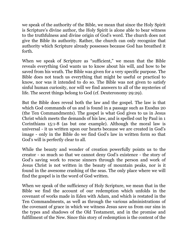we speak of the authority of the Bible, we mean that since the Holy Spirit is Scripture's divine author, the Holy Spirit is alone able to bear witness to the truthfulness and divine origin of God's word. The church does not give the Bible its authority. Rather, the church can only recognize that authority which Scripture already possesses because God has breathed it forth.

When we speak of Scripture as "sufficient," we mean that the Bible reveals everything God wants us to know about his will, and how to be saved from his wrath. The Bible was given for a very specific purpose. The Bible does not teach us everything that might be useful or practical to know, nor was it intended to do so. The Bible was not given to satisfy sinful human curiosity, nor will we find answers to all of the mysteries of life. The secret things belong to God (cf. Deuteronomy 29:29).

But the Bible does reveal both the law and the gospel. The law is that which God commands of us and is found in a passage such as Exodus 20 (the Ten Commandments). The gospel is what God gives to us in Jesus Christ which meets the demands of his law, and is spelled out by Paul in 1 Corinthians 15:1-8 (as but one example). Although the moral law is universal - it us written upon our hearts because we are created in God's image - only in the Bible do we find God's law in written form so that God's will is perfectly clear to all.

While the beauty and wonder of creation powerfully points us to the creator - so much so that we cannot deny God's existence - the story of God's saving work to rescue sinners through the person and work of Jesus Christ is not written in the beauty of mountain peaks, nor is it found in the awesome crashing of the seas. The only place where we will find the gospel is in the word of God written.

When we speak of the sufficiency of Holy Scripture, we mean that in the Bible we find the account of our redemption which unfolds in the covenant of works made in Eden with Adam, and which is restated in the Ten Commandments, as well as through the various administrations of the covenant of grace in which we witness Jesus save us from our sins in the types and shadows of the Old Testament, and in the promise and fulfillment of the New. Since this story of redemption is the content of the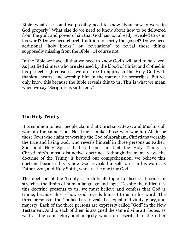Bible, what else could we possibly need to know about how to worship God properly? What else do we need to know about how to be delivered from the guilt and power of sin that God has not already revealed to us in his word? Do we need church tradition to clarify the gospel? Do we need additional "holy books," or "revelations" to reveal those things supposedly missing from the Bible? Of course not.

In the Bible we have all that we need to know God's will and to be saved. As justified sinners who are cleansed by the blood of Christ and clothed in his perfect righteousness, we are free to approach the Holy God with thankful hearts, and worship him in the manner he prescribes. But we only know this because the Bible reveals this to us. This is what we mean when we say "Scripture is sufficient."

#### <span id="page-9-0"></span>**The Holy Trinity**

It is common to hear people claim that Christians, Jews, and Muslims all worship the same God. Not true. Unlike those who worship Allah, or those Jews who claim to worship the God of Abraham, Christians worship the true and living God, who reveals himself in three persons as Father, Son, and Holy Spirit. It has been said that the Holy Trinity is Christianity's most distinctive doctrine. Although in many ways the doctrine of the Trinity is beyond our comprehension, we believe this doctrine because this is how God reveals himself to us in his word, as Father, Son, and Holy Spirit, who are the one true God.

The doctrine of the Trinity is a difficult topic to discuss, because it stretches the limits of human language and logic. Despite the difficulties this doctrine presents to us, we must believe and confess that God is triune, because this is how God reveals himself to us in his word. The three persons of the Godhead are revealed as equal in divinity, glory, and majesty. Each of the three persons are expressly called "God" in the New Testament. And to each of them is assigned the same divine attributes, as well as the same glory and majesty which are ascribed to the other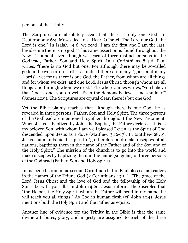persons of the Trinity.

The Scriptures are absolutely clear that there is only one God. In Deuteronomy 6:4, Moses declares "Hear, O Israel: The Lord our God, the Lord is one." In Isaiah 44:6, we read "I am the first and I am the last; besides me there is no god." This same assertion is found throughout the New Testament, even though we learn of three distinct persons in the Godhead, Father, Son and Holy Spirit. In 1 Corinthians 8:4-6, Paul writes, "there is no God but one. For although there may be so-called gods in heaven or on earth - as indeed there are many `gods' and many `lords' - yet for us there is one God, the Father, from whom are all things and for whom we exist, and one Lord, Jesus Christ, through whom are all things and through whom we exist." Elsewhere James writes, "you believe that God is one; you do well. Even the demons believe - and shudder!" (James 2:19). The Scriptures are crystal clear, there is but one God.

Yet the Bible plainly teaches that although there is one God, he is revealed in three persons, Father, Son and Holy Spirit. The three persons of the Godhead are mentioned together throughout the New Testament. When Jesus is baptized by John the Baptist, the Father declares, "this is my beloved Son, with whom I am well pleased," even as the Spirit of God descended upon Jesus as a dove (Matthew 3:16-17). In Matthew 28:19, Jesus commands his disciples to "go therefore and make disciples of all nations, baptizing them in the name of the Father and of the Son and of the Holy Spirit." The mission of the church is to go into the world and make disciples by baptizing them in the name (singular) of three persons of the Godhead (Father, Son and Holy Spirit).

In his benediction in his second Corinthian letter, Paul blesses his readers in the names of the Triune God (2 Corinthians 13:14). "The grace of the Lord Jesus Christ and the love of God and the fellowship of the Holy Spirit be with you all." In John 14:26, Jesus informs the disciples that "the Helper, the Holy Spirit, whom the Father will send in my name, he will teach you all things." As God in human flesh (cf. John 1:14), Jesus mentions both the Holy Spirit and the Father as equals.

Another line of evidence for the Trinity in the Bible is that the same divine attributes, glory, and majesty are assigned to each of the three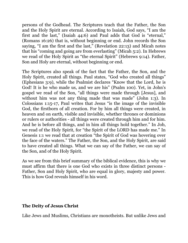persons of the Godhead. The Scriptures teach that the Father, the Son and the Holy Spirit are eternal. According to Isaiah, God says, "I am the first and the last," (Isaiah 44:6) and Paul adds that God is "eternal," (Romans 16:26) that is, without beginning or end. John records the Son saying, "I am the first and the last," (Revelation 22:13) and Micah notes that his "coming and going are from everlasting" (Micah 5:2). In Hebrews we read of the Holy Spirit as "the eternal Spirit" (Hebrews 9:14). Father, Son and Holy are eternal, without beginning or end.

The Scriptures also speak of the fact that the Father, the Son, and the Holy Spirit, created all things. Paul states, "God who created all things" (Ephesians 3:9), while the Psalmist declares "Know that the Lord, he is God! It is he who made us, and we are his" (Psalm 100). Yet, in John's gospel we read of the Son, "all things were made through [Jesus], and without him was not any thing made that was made" (John 1:3). In Colossians 1:15-17, Paul writes that Jesus "is the image of the invisible God, the firstborn of all creation. For by him all things were created, in heaven and on earth, visible and invisible, whether thrones or dominions or rulers or authorities - all things were created through him and for him. And he is before all things, and in him all things hold together." In Job, we read of the Holy Spirit, for "the Spirit of the LORD has made me." In Genesis 1:1 we read that at creation "the Spirit of God was hovering over the face of the waters." The Father, the Son, and the Holy Spirit, are said to have created all things. What we can say of the Father, we can say of the Son, and of the Holy Spirit.

As we see from this brief summary of the biblical evidence, this is why we must affirm that there is one God who exists in three distinct persons - Father, Son and Holy Spirit, who are equal in glory, majesty and power. This is how God reveals himself in his word.

#### <span id="page-11-0"></span>**The Deity of Jesus Christ**

Like Jews and Muslims, Christians are monotheists. But unlike Jews and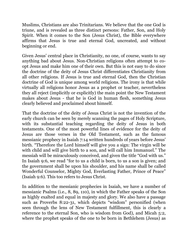Muslims, Christians are also Trinitarians. We believe that the one God is triune, and is revealed as three distinct persons: Father, Son, and Holy Spirit. When it comes to the Son (Jesus Christ), the Bible everywhere affirms that Jesus is true and eternal God, uncreated, and without beginning or end.

Given Jesus' central place in Christianity, no one, of course, wants to say anything bad about Jesus. Non-Christian religions often attempt to coopt Jesus and make him one of their own. But this is not easy to do since the doctrine of the deity of Jesus Christ differentiates Christianity from all other religions. If Jesus is true and eternal God, then the Christian doctrine of God is unique among world religions. The irony is that while virtually all religions honor Jesus as a prophet or teacher, nevertheless they all reject (implicitly or explicitly) the main point the New Testament makes about Jesus - that he is God in human flesh, something Jesus clearly believed and proclaimed about himself.

That the doctrine of the deity of Jesus Christ is not the invention of the early church can be seen by merely scanning the pages of Holy Scripture, with its substantial teaching regarding the deity of Jesus in both testaments. One of the most powerful lines of evidence for the deity of Jesus are those verses in the Old Testament, such as the famous messianic prophecy in Isaiah 7:14 written hundreds of years before Jesus' birth. "Therefore the Lord himself will give you a sign: The virgin will be with child and will give birth to a son, and will call him Immanuel." The messiah will be miraculously conceived, and given the title "God with us." In Isaiah 9:6, we read "for to us a child is born, to us a son is given; and the government shall be upon his shoulder, and his name shall be called Wonderful Counselor, Mighty God, Everlasting Father, Prince of Peace" (Isaiah 9:6). This too refers to Jesus Christ.

In addition to the messianic prophecies in Isaiah, we have a number of messianic Psalms (i.e., 8, 89, 110), in which the Father speaks of the Son as highly exalted and equal in majesty and glory. We also have a passage such as Proverbs 8:22-31, which depicts "wisdom" personified (when seen through the lens of New Testament fulfillment, this is clearly a reference to the eternal Son, who is wisdom from God), and Micah 5:2, where the prophet speaks of the one to be born in Bethlehem (Jesus) as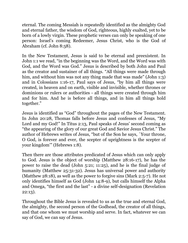eternal. The coming Messiah is repeatedly identified as the almighty God and eternal father, the wisdom of God, righteous, highly exalted, yet to be born of a lowly virgin. These prophetic verses can only be speaking of one person: Israel's coming Redeemer, Jesus Christ, who is the God of Abraham (cf. John 8:58).

In the New Testament, Jesus is said to be eternal and preexistent. In John 1:1 we read, "in the beginning was the Word, and the Word was with God, and the Word was God." Jesus is described by both John and Paul as the creator and sustainer of all things. "All things were made through him, and without him was not any thing made that was made" (John 1:3) and in Colossians 1:16-17, Paul says of Jesus, "by him all things were created, in heaven and on earth, visible and invisible, whether thrones or dominions or rulers or authorities - all things were created through him and for him. And he is before all things, and in him all things hold together."

Jesus is identified as "God" throughout the pages of the New Testament. In John 20:28, Thomas falls before Jesus and confesses of Jesus, "My Lord and my God!" In Titus 2:13, Paul speaks of Jesus' second coming as "the appearing of the glory of our great God and Savior Jesus Christ." The author of Hebrews writes of Jesus, "but of the Son he says, `Your throne, O God, is forever and ever, the scepter of uprightness is the scepter of your kingdom'" (Hebrews 1:8).

Then there are those attributes predicated of Jesus which can only apply to God. Jesus is the object of worship (Matthew 28:16-17), he has the power to raise the dead (John 5:21; 11:25), and he is the final judge of humanity (Matthew 25:31-32). Jesus has universal power and authority (Matthew 28:18), as well as the power to forgive sins (Mark 2:5-7). He not only identifies himself as God (John 14:8-9), but calls himself the Alpha and Omega, "the first and the last" - a divine self-designation (Revelation 22:13).

Throughout the Bible Jesus is revealed to us as the true and eternal God, the almighty, the second person of the Godhead, the creator of all things, and that one whom we must worship and serve. In fact, whatever we can say of God, we can say of Jesus.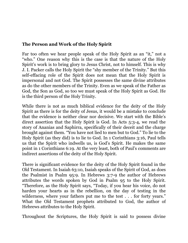#### <span id="page-14-0"></span>**The Person and Work of the Holy Spirit**

Far too often we hear people speak of the Holy Spirit as an "it," not a "who." One reason why this is the case is that the nature of the Holy Spirit's work is to bring glory to Jesus Christ, not to himself. This is why J. I. Packer calls the Holy Spirit the "shy member of the Trinity." But this self-effacing role of the Spirit does not mean that the Holy Spirit is impersonal and not God. The Spirit possesses the same divine attributes as do the other members of the Trinity. Even as we speak of the Father as God, the Son as God, so too we must speak of the Holy Spirit as God. He is the third person of the Holy Trinity.

While there is not as much biblical evidence for the deity of the Holy Spirit as there is for the deity of Jesus, it would be a mistake to conclude that the evidence is neither clear nor decisive. We start with the Bible's direct assertion that the Holy Spirit is God. In Acts 5:3-4, we read the story of Ananias and Saphirra, specifically of their deceit and the charge brought against them. "You have not lied to men but to God." To lie to the Holy Spirit (as they did) is to lie to God. In 1 Corinthians 3:16, Paul tells us that the Spirit who indwells us, is God's Spirit. He makes the same point in 1 Corinthians 6:19. At the very least, both of Paul's comments are indirect assertions of the deity of the Holy Spirit.

There is significant evidence for the deity of the Holy Spirit found in the Old Testament. In Isaiah 63:10, Isaiah speaks of the Spirit of God, as does the Psalmist in Psalm 95:9. In Hebrews 3:7-9 the author of Hebrews attributes the words spoken by God in Psalm 95 to the Holy Spirit. "Therefore, as the Holy Spirit says, "Today, if you hear his voice, do not harden your hearts as in the rebellion, on the day of testing in the wilderness, where your fathers put me to the test . . . for forty years." What the Old Testament prophets attributed to God, the author of Hebrews attributes to the Holy Spirit.

Throughout the Scriptures, the Holy Spirit is said to possess divine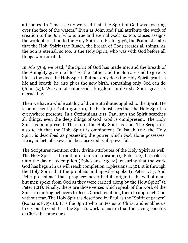attributes. In Genesis 1:1-2 we read that "the Spirit of God was hovering over the face of the waters." Even as John and Paul attribute the work of creation to the Son (who is true and eternal God), so too, Moses assigns the work of creation to the Holy Spirit. In Psalm 33:6, the Psalmist states that the Holy Spirit (the Ruach, the breath of God) creates all things. As the Son is eternal, so too, is the Holy Spirit, who was with God before all things were created.

In Job 33:4, we read, "the Spirit of God has made me, and the breath of the Almighty gives me life." As the Father and the Son are said to give us life, so too does the Holy Spirit. But not only does the Holy Spirit grant us life and breath, he also gives the new birth, something only God can do (John 3:5). We cannot enter God's kingdom until God's Spirit gives us eternal life.

Then we have a whole catalog of divine attributes applied to the Spirit. He is omniscient (in Psalm 139:7-10, the Psalmist says that the Holy Spirit is everywhere present). In 1 Corinthians 2:11, Paul says the Spirit searches all things, even the deep things of God. God is omnipresent. The Holy Spirit is omnipresent. Therefore, the Holy Spirit is God. The Scriptures also teach that the Holy Spirit is omnipotent. In Isaiah 11:2, the Holy Spirit is described as possessing the power which God alone possesses. He is, in fact, all-powerful, because God is all-powerful.

The Scriptures mention other divine attributes of the Holy Spirit as well. The Holy Spirit is the author of our sanctification (1 Peter 1:2), he seals us unto the day of redemption (Ephesians 1:13-14), ensuring that the work God has begun in us will reach completion (Ephesians 4:30). It is through the Holy Spirit that the prophets and apostles spoke (1 Peter 1:11). And Peter proclaims "[that] prophecy never had its origin in the will of man, but men spoke from God as they were carried along by the Holy Spirit" (1 Peter 1:21). Finally, there are those verses which speak of the work of the Spirit in uniting believers to Jesus Christ, enabling them to approach God without fear. The Holy Spirit is described by Paul as the "Spirit of prayer" (Romans 8:15-16). It is the Spirit who unites us to Christ and enables us to cry out to God. It is the Spirit's work to ensure that the saving benefits of Christ become ours.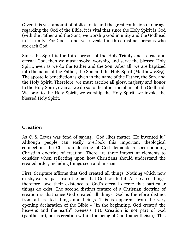Given this vast amount of biblical data and the great confusion of our age regarding the God of the Bible, it is vital that since the Holy Spirit is God (with the Father and the Son), we worship God in unity and the Godhead in Tri-unity. For God is one, yet revealed in three distinct persons who are each God.

Since the Spirit is the third person of the Holy Trinity and is true and eternal God, then we must invoke, worship, and serve the blessed Holy Spirit, even as we do the Father and the Son. After all, we are baptized into the name of the Father, the Son and the Holy Spirit (Matthew 28:9). The apostolic benediction is given in the name of the Father, the Son, and the Holy Spirit. Therefore, we must ascribe all glory, majesty and honor to the Holy Spirit, even as we do so to the other members of the Godhead. We pray to the Holy Spirit, we worship the Holy Spirit, we invoke the blessed Holy Spirit.

#### <span id="page-16-0"></span>**Creation**

As C. S. Lewis was fond of saying, "God likes matter. He invented it." Although people can easily overlook this important theological connection, the Christian doctrine of God demands a corresponding Christian doctrine of creation. There are three important elements to consider when reflecting upon how Christians should understand the created order, including things seen and unseen.

First, Scripture affirms that God created all things. Nothing which now exists, exists apart from the fact that God created it. All created things, therefore, owe their existence to God's eternal decree that particular things do exist. The second distinct feature of a Christian doctrine of creation is that since God created all things, God is therefore distinct from all created things and beings. This is apparent from the very opening declaration of the Bible - "In the beginning, God created the heavens and the earth" (Genesis 1:1). Creation is not part of God (pantheism), nor is creation within the being of God (panentheism). This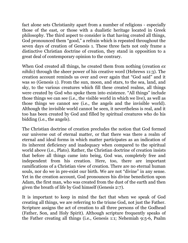fact alone sets Christianity apart from a number of religions - especially those of the east, or those with a dualistic heritage located in Greek philosophy. The third aspect to consider is that having created all things, God pronounced them "good," a refrain which is repeated throughout the seven days of creation of Genesis 1. These three facts not only frame a distinctive Christian doctrine of creation, they stand in opposition to a great deal of contemporary opinion to the contrary.

When God created all things, he created them from nothing (creation *ex nihilo*) through the sheer power of his creative word (Hebrews 11:3). The creation account reminds us over and over again that "God said" and it was so (Genesis 1). From the sun, moon, and stars, to the sea, land, and sky, to the various creatures which fill these created realms, all things were created by God who spoke them into existence. "All things" include those things we can see (i.e., the visible world in which we live), as well as those things we cannot see (i.e., the angels and the invisible world). Although the invisible world cannot be seen, it nevertheless is real, and it too has been created by God and filled by spiritual creatures who do his bidding (i.e., the angels).

The Christian doctrine of creation precludes the notion that God formed our universe out of eternal matter, or that there was there a realm of eternal and ideal forms in which matter participates as an indication of its inherent deficiency and inadequacy when compared to the spiritual world above (i.e., Plato). Rather, the Christian doctrine of creation insists that before all things came into being, God was, completely free and independent from his creation. Here, too, there are important ramifications of a Christian view of creation. There are no eternal human souls, nor do we in pre-exist our birth. We are not "divine" in any sense. Yet in the creation account, God pronounces his divine benediction upon Adam, the first man, who was created from the dust of the earth and then given the breath of life by God himself (Genesis 2:7).

It is important to keep in mind the fact that when we speak of God creating all things, we are referring to the triune God, not just the Father. Scripture assigns the act of creation to all three persons of the Godhead (Father, Son, and Holy Spirit). Although scripture frequently speaks of the Father creating all things (i.e., Genesis 1:1; Nehemiah 9:5-6, Psalm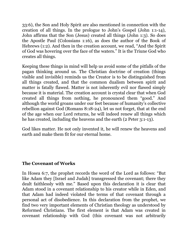33:6), the Son and Holy Spirit are also mentioned in connection with the creation of all things. In the prologue to John's Gospel (John 1:1-14), John affirms that the Son (Jesus) created all things (John 1:3). So does the Apostle Paul (Colossians 1:16), as does the author of the Book of Hebrews (1:2). And then in the creation account, we read, "And the Spirit of God was hovering over the face of the waters." It is the Triune God who creates all things.

Keeping these things in mind will help us avoid some of the pitfalls of the pagan thinking around us. The Christian doctrine of creation (things visible and invisible) reminds us the Creator is to be distinguished from all things created, and that the common dualism between spirit and matter is fatally flawed. Matter is not inherently evil nor flawed simply because it is material. The creation account is crystal clear that when God created all things from nothing, he pronounced them "good." And although the world groans under our feet because of humanity's collective rebellion against God (Romans 8:18-24), let us not forget, that at the end of the age when our Lord returns, he will indeed renew all things which he has created, including the heavens and the earth (2 Peter 3:1-13).

God likes matter. He not only invented it, he will renew the heavens and earth and make them fit for our eternal home.

#### <span id="page-18-0"></span>**The Covenant of Works**

In Hosea 6:7, the prophet records the word of the Lord as follows: "But like Adam they [Israel and Judah] transgressed the covenant; there they dealt faithlessly with me." Based upon this declaration it is clear that Adam stood in a covenant relationship to his creator while in Eden, and that Adam had indeed violated the terms of that covenant through a personal act of disobedience. In this declaration from the prophet, we find two very important elements of Christian theology as understood by Reformed Christians. The first element is that Adam was created in covenant relationship with God (this covenant was not arbitrarily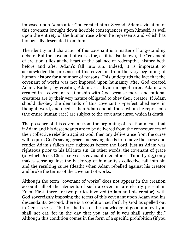imposed upon Adam after God created him). Second, Adam's violation of this covenant brought down horrible consequences upon himself, as well upon the entirety of the human race whom he represents and which has biologically descended from him.

The identity and character of this covenant is a matter of long-standing debate. But the covenant of works (or, as it is also known, the "covenant of creation") lies at the heart of the balance of redemptive history both before and after Adam's fall into sin. Indeed, it is important to acknowledge the presence of this covenant from the very beginning of human history for a number of reasons. This undergirds the fact that the covenant of works was not imposed upon humanity after God created Adam. Rather, by creating Adam as a divine image-bearer, Adam was created in a covenant relationship with God because moral and rational creatures are by their very nature obligated to obey their creator. If Adam should disobey the demands of this covenant - -perfect obedience in thought, word, and deed - -then Adam and all those whom he represents (the entire human race) are subject to the covenant curse, which is death.

The presence of this covenant from the beginning of creation means that if Adam and his descendants are to be delivered from the consequences of their collective rebellion against God, then any deliverance from the curse will require God's saving grace and saving deeds to remove the curse and render Adam's fallen race righteous before the Lord, just as Adam was righteous prior to his fall into sin. In other words, the covenant of grace (of which Jesus Christ serves as covenant mediator - 1 Timothy 2:5) only makes sense against the backdrop of humanity's collective fall into sin and the resulting curse (death) when Adam rebelled against his creator and broke the terms of the covenant of works.

Although the term "covenant of works" does not appear in the creation account, all of the elements of such a covenant are clearly present in Eden. First, there are two parties involved (Adam and his creator), with God sovereignly imposing the terms of this covenant upon Adam and his descendants. Second, there is a condition set forth by God as spelled out in Genesis 2:17 - "but of the tree of the knowledge of good and evil you shall not eat, for in the day that you eat of it you shall surely die." Although this condition comes in the form of a specific prohibition (if you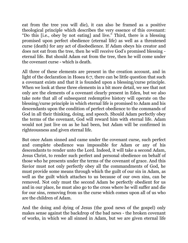eat from the tree you will die), it can also be framed as a positive theological principle which describes the very essence of this covenant: "Do this [i.e., obey by not eating] and live." Third, there is a blessing promised upon perfect obedience (eternal life) as well as a threatened curse (death) for any act of disobedience. If Adam obeys his creator and does not eat from the tree, then he will receive God's promised blessing eternal life. But should Adam eat from the tree, then he will come under the covenant curse - which is death.

All three of these elements are present in the creation account, and in light of the declaration in Hosea 6:7, there can be little question that such a covenant exists and that it is founded upon a blessing/curse principle. When we look at these three elements in a bit more detail, we see that not only are the elements of a covenant clearly present in Eden, but we also take note that all of subsequent redemptive history will operate on the blessing/curse principle in which eternal life is promised to Adam and his descendants upon the condition of perfect obedience to the commands of God in all their thinking, doing, and speech. Should Adam perfectly obey the terms of the covenant, God will reward him with eternal life. Adam would not just live on as he had been, but Adam will be confirmed in righteousness and given eternal life.

But once Adam sinned and came under the covenant curse, such perfect and complete obedience was impossible for Adam or any of his descendants to render unto the Lord. Indeed, it will take a second Adam, Jesus Christ, to render such perfect and personal obedience on behalf of those who he presents under the terms of the covenant of grace. And this Savior must not only perfectly obey all the commandments of God, he must provide some means through which the guilt of our sin in Adam, as well as the guilt which attaches to us because of our own sins, can be removed. Not only must the second Adam be perfectly obedient for us and in our place, he must also go to the cross where he will suffer and die for our sins, removing from us the curse which comes upon all of us who are the children of Adam.

And the doing and dying of Jesus (the good news of the gospel) only makes sense against the backdrop of the bad news - the broken covenant of works, in which we all sinned in Adam, but we are given eternal life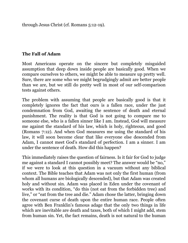through Jesus Christ (cf. Romans 5:12-19).

#### <span id="page-21-0"></span>**The Fall of Adam**

Most Americans operate on the sincere but completely misguided assumption that deep down inside people are basically good. When we compare ourselves to others, we might be able to measure up pretty well. Sure, there are some who we might begrudgingly admit are better people than we are, but we still do pretty well in most of our self-comparison tests against others.

The problem with assuming that people are basically good is that it completely ignores the fact that ours is a fallen race, under the just condemnation from God, awaiting the sentence of death and eternal punishment. The reality is that God is not going to compare me to someone else, who is a fallen sinner like I am. Instead, God will measure me against the standard of his law, which is holy, righteous, and good (Romans 7:12). And when God measures me using the standard of his law, it will soon become clear that like everyone else descended from Adam, I cannot meet God's standard of perfection. I am a sinner. I am under the sentence of death. How did this happen?

This immediately raises the question of fairness. Is it fair for God to judge me against a standard I cannot possibly meet? The answer would be "no," if we were to look at this question in a vacuum without any biblical context. The Bible teaches that Adam was not only the first human (from whom all humans are biologically descended), but that Adam was created holy and without sin. Adam was placed in Eden under the covenant of works with its condition, "do this (not eat from the forbidden tree) and live," or "eat from the tree and die." Adam chose the latter, bringing down the covenant curse of death upon the entire human race. People often agree with Ben Franklin's famous adage that the only two things in life which are inevitable are death and taxes, both of which I might add, stem from human sin. Yet, the fact remains, death is not natural to the human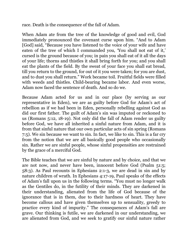race. Death is the consequence of the fall of Adam.

When Adam ate from the tree of the knowledge of good and evil, God immediately pronounced the covenant curse upon him. "And to Adam [God] said, "Because you have listened to the voice of your wife and have eaten of the tree of which I commanded you, 'You shall not eat of it,' cursed is the ground because of you; in pain you shall eat of it all the days of your life; thorns and thistles it shall bring forth for you; and you shall eat the plants of the field. By the sweat of your face you shall eat bread, till you return to the ground, for out of it you were taken; for you are dust, and to dust you shall return." Work became toil. Fruitful fields were filled with weeds and thistles. Child-bearing became labor. And even worse, Adam now faced the sentence of death. And so do we.

Because Adam acted for us and in our place (by serving as our representative in Eden), we are as guilty before God for Adam's act of rebellion as if we had been in Eden, personally rebelling against God as did our first father. The guilt of Adam's sin was imputed or reckoned to us (Romans 5:12, 18-19). Not only did the fall of Adam render us guilty before God, we have all inherited a sinful nature from Adam, and it is from that sinful nature that our own particular acts of sin spring (Romans 7:5). We sin because we want to sin. In fact, we like to sin. This is a far cry from the notion that we are all basically good people who occasionally sin. Rather we are sinful people, whose sinful propensities are restrained by the grace of a merciful God.

The Bible teaches that we are sinful by nature and by choice, and that we are not now, and never have been, innocent before God (Psalm 51:5; 58:3). As Paul recounts in Ephesians 2:1-3, we are dead in sin and by nature children of wrath. In Ephesians 4:17-19, Paul speaks of the effects of Adam's fall upon us in the following terms. "You must no longer walk as the Gentiles do, in the futility of their minds. They are darkened in their understanding, alienated from the life of God because of the ignorance that is in them, due to their hardness of heart. They have become callous and have given themselves up to sensuality, greedy to practice every kind of impurity." The consequences of Adam's fall are grave. Our thinking is futile, we are darkened in our understanding, we are alienated from God, and we seek to gratify our sinful nature rather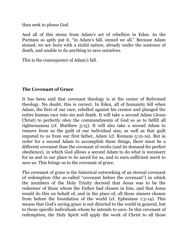than seek to please God.

And all of this stems from Adam's act of rebellion in Eden. As the Puritans so aptly put it, "in Adam's fall, sinned we all." Because Adam sinned, we are born with a sinful nature, already under the sentence of death, and unable to do anything to save ourselves.

This is the consequence of Adam's fall.

#### <span id="page-23-0"></span>**The Covenant of Grace**

It has been said that covenant theology is at the center of Reformed theology. No doubt, this is correct. In Eden, all of humanity fell when Adam, the first of our race, rebelled against his creator and plunged the entire human race into sin and death. It will take a second Adam (Jesus Christ) to perfectly obey the commandments of God so as to fulfill all righteousness (cf. Matthew 3:15). It will also take a second Adam to remove from us the guilt of our individual sins, as well as that guilt imputed to us from our first father, Adam (cf. Romans 5:12-19). But in order for a second Adam to accomplish these things, there must be a different covenant than the covenant of works (and its demand for perfect obedience), in which God allows a second Adam to do what is necessary for us and in our place to be saved for us, and to earn sufficient merit to save us. This brings us to the covenant of grace.

The covenant of grace is the historical outworking of an eternal covenant of redemption (the so-called "covenant before the covenant") in which the members of the Holy Trinity decreed that Jesus was to be the redeemer of those whom the Father had chosen in him, and that Jesus would do this on behalf of, and in the place of, all those sinners chosen from before the foundation of the world (cf. Ephesians 1:3-14). This means that God's saving grace is not directed to the world in general, but to those specific individuals whom he intends to save. In this covenant of redemption, the Holy Spirit will apply the work of Christ to all those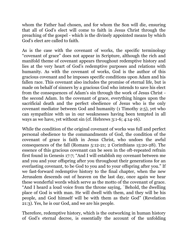whom the Father had chosen, and for whom the Son will die, ensuring that all of God's elect will come to faith in Jesus Christ through the preaching of the gospel - which is the divinely appointed means by which God's elect are called to faith.

As is the case with the covenant of works, the specific terminology "covenant of grace" does not appear in Scripture, although the rich and manifold theme of covenant appears throughout redemptive history and lies at the very heart of God's redemptive purposes and relations with humanity. As with the covenant of works, God is the author of this gracious covenant and he imposes specific conditions upon Adam and his fallen race. This covenant also includes the promise of eternal life, but is made on behalf of sinners by a gracious God who intends to save his elect from the consequences of Adam's sin through the work of Jesus Christ the second Adam. In the covenant of grace, everything hinges upon the sacrificial death and the perfect obedience of Jesus who is the only covenant mediator between God and humanity (1 Timothy 2:5), yet who can sympathize with us in our weaknesses having been tempted in all ways as we have, yet without sin (cf. Hebrews 3:1-6; 4:14-16).

While the condition of the original covenant of works was full and perfect personal obedience to the commandments of God, the condition of the covenant of grace is faith in Jesus Christ, who undoes the awful consequences of the fall (Romans 5:12-21; 2 Corinthians 15:20-28). The essence of this gracious covenant can be seen in the oft-repeated refrain first found in Genesis 17:7; "And I will establish my covenant between me and you and your offspring after you throughout their generations for an everlasting covenant, to be God to you and to your offspring after you." If we fast-forward redemptive history to the final chapter, when the new Jerusalem descends out of heaven on the last day, once again we hear these wonderful words which serve as the motto of the covenant of grace. "And I heard a loud voice from the throne saying, `Behold, the dwelling place of God is with man. He will dwell with them, and they will be his people, and God himself will be with them as their God" (Revelation 21:3). Yes, he is our God, and we are his people.

Therefore, redemptive history, which is the outworking in human history of God's eternal decree, is essentially the account of the unfolding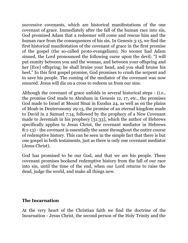successive covenants, which are historical manifestations of the one covenant of grace. Immediately after the fall of the human race into sin, God promised Adam that a redeemer will come and rescue him and the human race from the consequences of his sin. In Genesis 3:15, we find the first historical manifestation of the covenant of grace in the first promise of the gospel (the so-called proto-evangelium). No sooner had Adam sinned, the Lord pronounced the following curse upon the devil: "I will put enmity between you and the woman, and between your offspring and her [Eve] offspring; he shall bruise your head, and you shall bruise his heel." In this first gospel promise, God promises to crush the serpent and to save his people. The coming of the mediator of the covenant was now ensured. Jesus will die on a cross to redeem us from our sins.

Although the covenant of grace unfolds in several historical steps - (i.e., the promise God made to Abraham in Genesis 12, 17, etc., the promises God made to Israel at Mount Sinai in Exodus 24, as well as on the plains of Moab in Deuteronomy 29:13, the promise of an eternal kingdom made to David in 2 Samuel 7:14, followed by the prophecy of a New Covenant made to Jeremiah in his prophecy [31:33], which the author of Hebrews specifically applies to Jesus Christ, the covenant mediator in Hebrews 8:1-13) - the covenant is essentially the same throughout the entire course of redemptive history. This can be seen in the simple fact that there is but one gospel in both testaments, just as there is only one covenant mediator (Jesus Christ).

God has promised to be our God, and that we are his people. These covenant promises bookend redemptive history from the fall of our race into sin, until the time of the end, when our Lord returns to raise the dead, judge the world, and make all things new.

#### <span id="page-25-0"></span>**The Incarnation**

At the very heart of the Christian faith we find the doctrine of the Incarnation - Jesus Christ, the second person of the Holy Trinity and the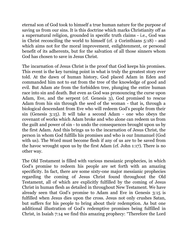eternal son of God took to himself a true human nature for the purpose of saving us from our sins. It is this doctrine which marks Christianity off as a supernatural religion, grounded in specific truth claims - i.e., God was in Christ reconciling the world to himself (cf. 2 Corinthians 5:18) - and which aims not for the moral improvement, enlightenment, or personal benefit of its adherents, but for the salvation of all those sinners whom God has chosen to save in Jesus Christ.

The incarnation of Jesus Christ is the proof that God keeps his promises. This event is the key turning point in what is truly the greatest story ever told. At the dawn of human history, God placed Adam in Eden and commanded him not to eat from the tree of the knowledge of good and evil. But Adam ate from the forbidden tree, plunging the entire human race into sin and death. But even as God was pronouncing the curse upon Adam, Eve, and the serpent (cf. Genesis 3), God promised to rescue Adam from his sin through the seed of the woman - that is, through a biological descendant from Eve who will redeem God's people from their sin (Genesis 3:15). It will take a second Adam - one who obeys the covenant of works which Adam broke and who alone can redeem us from the guilt and power of sin - to undo the consequences brought upon us by the first Adam. And this brings us to the incarnation of Jesus Christ, the person in whom God fulfills his promises and who is our Immanuel (God with us). The Word must become flesh if any of us are to be saved from the havoc wrought upon us by the first Adam (cf. John 1:17). There is no other way.

The Old Testament is filled with various messianic prophecies, in which God's promise to redeem his people are set forth with an amazing specificity. In fact, there are some sixty-one major messianic prophecies regarding the coming of Jesus Christ found throughout the Old Testament, all of which are explicitly fulfilled by the coming of Jesus Christ in human flesh as detailed in throughout New Testament. We have already seen that God's promise to Adam and Eve in Genesis 3:15 is fulfilled when Jesus dies upon the cross. Jesus not only crushes Satan, but suffers for his people to bring about their redemption. As but one additional illustration of God's redemptive promises being fulfilled in Christ, in Isaiah 7:14 we find this amazing prophecy: "Therefore the Lord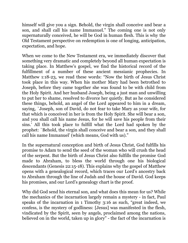himself will give you a sign. Behold, the virgin shall conceive and bear a son, and shall call his name Immanuel." The coming one is not only supernaturally conceived, he will be God in human flesh. This is why the Old Testament perspective on redemption is one of longing, anticipation, expectation, and hope.

When we come to the New Testament era, we immediately discover that something very dramatic and completely beyond all human expectation is taking place. In Matthew's gospel, we find the historical record of the fulfillment of a number of these ancient messianic prophecies. In Matthew 1:18-23, we read these words: "Now the birth of Jesus Christ took place in this way. When his mother Mary had been betrothed to Joseph, before they came together she was found to be with child from the Holy Spirit. And her husband Joseph, being a just man and unwilling to put her to shame, resolved to divorce her quietly. But as he considered these things, behold, an angel of the Lord appeared to him in a dream, saying, `Joseph, son of David, do not fear to take Mary as your wife, for that which is conceived in her is from the Holy Spirit. She will bear a son, and you shall call his name Jesus, for he will save his people from their sins.' All this took place to fulfill what the Lord had spoken by the prophet: `Behold, the virgin shall conceive and bear a son, and they shall call his name Immanuel' (which means, God with us)."

In the supernatural conception and birth of Jesus Christ, God fulfills his promise to Adam to send the seed of the woman who will crush the head of the serpent. But the birth of Jesus Christ also fulfills the promise God made to Abraham, to bless the world through one his biological descendants (Genesis 22:15-18). This explains why the gospel of Matthew opens with a genealogical record, which traces our Lord's ancestry back to Abraham through the line of Judah and the house of David. God keeps his promises, and our Lord's genealogy chart is the proof.

Why did God send his eternal son, and what does this mean for us? While the mechanics of the incarnation largely remain a mystery - in fact, Paul speaks of the incarnation in 1 Timothy 3:16 as such, "great indeed, we confess, is the mystery of godliness: [Jesus] was manifested in the flesh, vindicated by the Spirit, seen by angels, proclaimed among the nations, believed on in the world, taken up in glory" - the fact of the incarnation is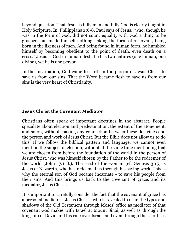beyond question. That Jesus is fully man and fully God is clearly taught in Holy Scripture. In, Philippians 2:6-8, Paul says of Jesus, "who, though he was in the form of God, did not count equality with God a thing to be grasped, but made himself nothing, taking the form of a servant, being born in the likeness of men. And being found in human form, he humbled himself by becoming obedient to the point of death, even death on a cross." Jesus is God in human flesh, he has two natures (one human, one divine), yet he is one person.

In the Incarnation, God came to earth in the person of Jesus Christ to save us from our sins. That the Word became flesh to save us from our sins is the very heart of Christianity.

#### <span id="page-28-0"></span>**Jesus Christ the Covenant Mediator**

Christians often speak of important doctrines in the abstract. People speculate about election and predestination, the extent of the atonement, and so on, without making any connection between these doctrines and the person and work of Jesus Christ. But the Bible does not allow us to do this. If we follow the biblical pattern and language, we cannot even mention the subject of election, without at the same time mentioning that we are chosen from before the foundation of the world in the person of Jesus Christ, who was himself chosen by the Father to be the redeemer of the world (John 17:1 ff.). The seed of the woman (cf. Genesis 3:15) is Jesus of Nazareth, who has redeemed us through his saving work. This is why the eternal son of God became incarnate - to save his people from their sins. And this brings us back to the covenant of grace, and its mediator, Jesus Christ.

It is important to carefully consider the fact that the covenant of grace has a personal mediator - Jesus Christ - who is revealed to us in the types and shadows of the Old Testament through Moses' office as mediator of that covenant God makes with Israel at Mount Sinai, as well as through the kingship of David and his rule over Israel, and even through the sacrifices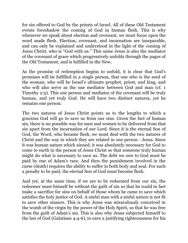for sin offered to God by the priests of Israel. All of these Old Testament events foreshadow the coming of God in human flesh. This is why whenever we speak about election and covenant, we must focus upon the word made flesh. Election, covenant, and incarnation are inseparable, and can only be explained and understood in the light of the coming of Jesus Christ, who is "God with us." This same Jesus is also the mediator of the covenant of grace which progressively unfolds through the pages of the Old Testament, and is fulfilled in the New.

As the promise of redemption begins to unfold, it is clear that God's promises will be fulfilled in a single person, that one who is the seed of the woman, who will be Israel's ultimate prophet, priest, and king, and who will also serve as the one mediator between God and man (cf. 1 Timothy 2:5). This one person and mediator of the covenant will be truly human, and yet truly God. He will have two distinct natures, yet he remains one person.

The two natures of Jesus Christ points us to the lengths to which a gracious God will go to save us from our sins. Given the fact of human sin, there is no possible way for men and women to be delivered from that sin apart from the incarnation of our Lord. Since it is the eternal Son of God, the Word, who became flesh, we must deal with the two natures of Christ and the way in which they are related in one person - Jesus. Since it was human nature which sinned, it was absolutely necessary for God to come to earth in the person of Jesus Christ so that someone truly human might do what is necessary to save us. The debt we owe to God must be paid by one of Adam's race. And then the punishment involved in the curse (death) requires the ability to suffer in both body and soul. For such a penalty to be paid, the eternal Son of God must become flesh.

And yet, at the same time, if we are to be redeemed from our sin, the redeemer must himself be without the guilt of sin so that he could in fact make a sacrifice for sins on behalf of those whom he came to save which satisfies the holy justice of God. A sinful man with a sinful nature is not fit to save other sinners. This is why Jesus was miraculously conceived in the womb of the virgin by the power of the Holy Spirit, so that he was free from the guilt of Adam's sin. This is also why Jesus subjected himself to the law of God (Galatians 4:4-6), to earn a justifying righteousness for his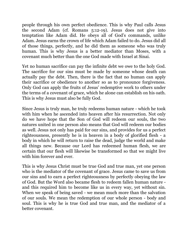people through his own perfect obedience. This is why Paul calls Jesus the second Adam (cf. Romans 5:12-19). Jesus does not give into temptation like Adam did. He obeys all of God's commands, unlike Adam. Jesus earns the crown of life which Adam failed to do. Jesus did all of those things, perfectly, and he did them as someone who was truly human. This is why Jesus is a better mediator than Moses, with a covenant much better than the one God made with Israel at Sinai.

Yet no human sacrifice can pay the infinite debt we owe to the holy God. The sacrifice for our sins must be made by someone whose death can actually pay the debt. Then, there is the fact that no human can apply their sacrifice or obedience to another so as to pronounce forgiveness. Only God can apply the fruits of Jesus' redemptive work to others under the terms of a covenant of grace, which he alone can establish on his oath. This is why Jesus must also be fully God.

Since Jesus is truly man, he truly redeems human nature - which he took with him when he ascended into heaven after his resurrection. Not only do we have hope that the Son of God will redeem our souls, the two natures united in one person also means that God will redeem our bodies as well. Jesus not only has paid for our sins, and provides for us a perfect righteousness, presently he is in heaven in a body of glorified flesh - a body in which he will return to raise the dead, judge the world and make all things new. Because our Lord has redeemed human flesh, we are certain that our flesh will likewise be transformed so that we might live with him forever and ever.

This is why Jesus Christ must be true God and true man, yet one person who is the mediator of the covenant of grace. Jesus came to save us from our sins and to earn a perfect righteousness by perfectly obeying the law of God. But the Word also became flesh to redeem fallen human nature and this required him to become like us in every way, yet without sin. When we speak of being saved - we mean much more than the salvation of our souls. We mean the redemption of our whole person - body and soul. This is why he is true God and true man, and the mediator of a better covenant.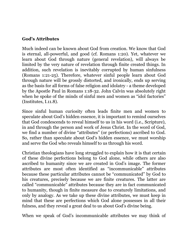#### <span id="page-31-0"></span>**God's Attributes**

Much indeed can be known about God from creation. We know that God is eternal, all-powerful, and good (cf. Romans 1:20). Yet, whatever we learn about God through nature (general revelation), will always be limited by the very nature of revelation through finite created things. In addition, such revelation is inevitably corrupted by human sinfulness (Romans 1:21-25). Therefore, whatever sinful people learn about God through nature will be grossly distorted, and ironically, ends up serving as the basis for all forms of false religion and idolatry - a theme developed by the Apostle Paul in Romans 1:18-32. John Calvin was absolutely right when he spoke of the minds of sinful men and women as "idol factories" (Institutes, I.11.8).

Since sinful human curiosity often leads finite men and women to speculate about God's hidden essence, it is important to remind ourselves that God condescends to reveal himself to us in his word (i.e., Scripture), in and through the person and work of Jesus Christ. In the word of God, we find a number of divine "attributes" (or perfections) ascribed to God. So, rather than speculate about God's hidden essence, we must worship and serve the God who reveals himself to us through his word.

Christian theologians have long struggled to explain how it is that certain of these divine perfections belong to God alone, while others are also ascribed to humanity since we are created in God's image. The former attributes are most often identified as "incommunicable" attributes because these particular attributes cannot be "communicated" by God to his creatures, precisely because we are finite creatures. The latter are called "communicable" attributes because they are in fact communicated to humanity, though in finite measure due to creaturely limitations, and only by analogy. As we take up these divine attributes, we must keep in mind that these are perfections which God alone possesses in all their fulness, and they reveal a great deal to us about God's divine being.

When we speak of God's incommunicable attributes we may think of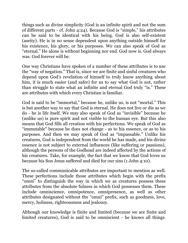things such as divine simplicity (God is an infinite spirit and not the sum of different parts - cf. John 4:24). Because God is "simple," his attributes can be said to be identical with his being. God is also self-existent (aseity). He is in no sense dependent upon anything outside himself for his existence, his glory, or his purposes. We can also speak of God as "eternal." He alone is without beginning nor end. God now is. God always was. God forever will be.

One way Christians have spoken of a number of these attributes is to use the "way of negation." That is, since we are finite and sinful creatures who depend upon God's revelation of himself to truly know anything about him, it is much easier (and safer) for us to say what God is not, rather than struggle to state what an infinite and eternal God truly "is." These are attributes with which every Christian is familiar.

God is said to be "immortal," because he, unlike us, is not "mortal." This is but another way to say that God is eternal. He does not live or die as we do - he is life itself. We may also speak of God as "invisible" because he (unlike us) is pure spirit and not visible to the human eye. But this also means that God fills all creation with his perfections. We speak of God as "immutable" because he does not change - as to his essence, or as to his purposes. And then we may speak of God as "impassable." Unlike his creatures, God is independent from the world he has made, and his divine essence is not subject to external influences (like suffering or passions), although the persons of the Godhead are indeed affected by the actions of his creatures. Take, for example, the fact that we know that God loves us because his Son Jesus suffered and died for our sins (1 John 4:10).

The so-called communicable attributes are important to mention as well. These perfections include those attributes which begin with the prefix "omni" to distinguish the way in which we as creatures possess these attributes from the absolute fulness in which God possesses them. These include omniscience, omnipotence, omnipresence, as well as other attributes designated without the "omni" prefix, such as goodness, love, mercy, holiness, righteousness and jealousy.

Although our knowledge is finite and limited (because we are finite and limited creatures), God is said to be omniscient - he knows all things.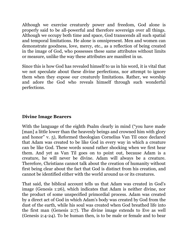Although we exercise creaturely power and freedom, God alone is properly said to be all-powerful and therefore sovereign over all things. Although we occupy both time and space, God transcends all such spatial and temporal limitations. He alone is omnipresent. Men and women can demonstrate goodness, love, mercy, etc., as a reflection of being created in the image of God, who possesses these same attributes without limits or measure, unlike the way these attributes are manifest in us.

Since this is how God has revealed himself to us in his word, it is vital that we not speculate about these divine perfections, nor attempt to ignore them when they expose our creaturely limitations. Rather, we worship and adore the God who reveals himself through such wonderful perfections.

#### <span id="page-33-0"></span>**Divine Image Bearers**

With the language of the eighth Psalm clearly in mind ("you have made [man] a little lower than the heavenly beings and crowned him with glory and honor" v. 5), Reformed theologian Cornelius Van Til once declared that Adam was created to be like God in every way in which a creature can be like God. These words sound rather shocking when we first hear them. And yet as Van Til goes on to point out, because Adam is a creature, he will never be divine. Adam will always be a creature. Therefore, Christians cannot talk about the creation of humanity without first being clear about the fact that God is distinct from his creation, and cannot be identified either with the world around us or its creatures.

That said, the biblical account tells us that Adam was created in God's image (Genesis 1:26), which indicates that Adam is neither divine, nor the product of some unspecified primordial process. Adam was created by a direct act of God in which Adam's body was created by God from the dust of the earth, while his soul was created when God breathed life into the first man (Genesis 2:7). The divine image extends to Eve as well (Genesis 2:4-24). To be human then, is to be male or female and to bear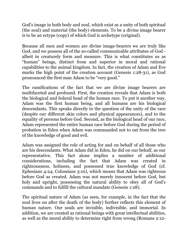God's image in both body and soul, which exist as a unity of both spiritual (the soul) and material (the body) elements. To be a divine image bearer is to be an ectype (copy) of which God is archetype (original).

Because all men and women are divine image-bearers we are truly like God, and we possess all of the so-called communicable attributes of God albeit in creaturely form and measure. This is what constitutes us as "human" beings, distinct from and superior in moral and rational capabilities to the animal kingdom. In fact, the creation of Adam and Eve marks the high point of the creation account (Genesis 1:28-31), as God pronounced the first man Adam to be "very good."

The ramifications of the fact that we are divine image bearers are multifaceted and profound. First, the creation reveals that Adam is both the biological and federal head of the human race. To put it another way, Adam was the first human being, and all humans are his biological descendants. This speaks directly to the question of the unity of the race (despite our different skin colors and physical appearances), and to the equality of persons before God. Second, as the biological head of our race, Adam represented the entire human race before God during the period of probation in Eden when Adam was commanded not to eat from the tree of the knowledge of good and evil.

Adam was assigned the role of acting for and on behalf of all those who are his descendants. What Adam did in Eden, he did on our behalf, as our representative. This fact alone implies a number of additional considerations, including the fact that Adam was created in righteousness, holiness, and possessed true knowledge of God (cf. Ephesians 4:24; Colossians 3:10), which means that Adam was righteous before God as created. Adam was not merely innocent before God, but holy and upright, possessing the natural ability to obey all of God's commands and to fulfill the cultural mandate (Genesis 1:28).

The spiritual nature of Adam (as seen, for example, in the fact that the soul lives on after the death of the body) further reflects this element of human nature. Our souls are invisible, indivisible, and immortal. In addition, we are created as rational beings with great intellectual abilities, as well as the moral ability to determine right from wrong (Romans 2:12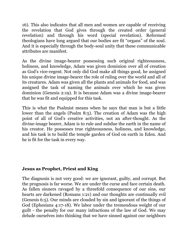16). This also indicates that all men and women are capable of receiving the revelation that God gives through the created order (general revelation) and through his word (special revelation). Reformed theologians have long argued that our bodies are fit "organs" of the soul. And it is especially through the body-soul unity that these communicable attributes are manifest.

As the divine image-bearer possessing such original righteousness, holiness, and knowledge, Adam was given dominion over all of creation as God's vice-regent. Not only did God make all things good, he assigned his unique divine image-bearer the role of ruling over the world and all of its creatures. Adam was given all the plants and animals for food, and was assigned the task of naming the animals over which he was given dominion (Genesis 2:19). It is because Adam was a divine image-bearer that he was fit and equipped for this task.

This is what the Psalmist means when he says that man is but a little lower than the angels (Psalm 8:5). The creation of Adam was the high point of all of God's creative activities, not an after-thought. As the divine-image bearer, Adam is to rule and subdue the earth in the name of his creator. He possesses true righteousness, holiness, and knowledge, and his task is to build the temple garden of God on earth in Eden. And he is fit for the task in every way.

#### <span id="page-35-0"></span>**Jesus as Prophet, Priest and King**

The diagnosis is not very good: we are ignorant, guilty, and corrupt. But the prognosis is far worse. We are under the curse and face certain death. As fallen sinners ravaged by a threefold consequence of our sins, our hearts are darkened (Romans 1:21) and our thoughts are continually evil (Genesis 6:5). Our minds are clouded by sin and ignorant of the things of God (Ephesians 4:17-18). We labor under the tremendous weight of our guilt - the penalty for our many infractions of the law of God. We may delude ourselves into thinking that we have sinned against our neighbors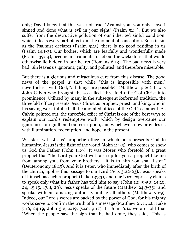only; David knew that this was not true. "Against you, you only, have I sinned and done what is evil in your sight" (Psalm 51:4). But we also suffer from the destructive pollution of our inherited sinful condition, which infects every part of us from the moment of conception. Born in sin as the Psalmist declares (Psalm 51:5), there is no good residing in us (Psalm 14:1-3). Our bodies, which are fearfully and wonderfully made (Psalm 139:14), become instruments to act out the wickedness that would otherwise lie hidden in our hearts (Romans 6:13). The bad news is very bad. Sin leaves us ignorant, guilty, and polluted, and therefore miserable.

But there is a glorious and miraculous cure from this disease: The good news of the gospel is that while "this is impossible with men," nevertheless, with God, "all things are possible!" (Matthew 19:26). It was John Calvin who brought the so-called "threefold office" of Christ into prominence. Utilized by many in the subsequent Reformed tradition, the threefold office presents Jesus Christ as prophet, priest, and king, who in his saving work fulfilled all the anointed offices of the Old Testament. As Calvin pointed out, the threefold office of Christ is one of the best ways to explain our Lord's redemptive work, which by design overcame our ignorance, our guilt, and our corruption, and which even now provides us with illumination, redemption, and hope in the present.

We start with Jesus' prophetic office in which he represents God to humanity. Jesus is the light of the world (John 1:4-5), who comes to show us God the Father (John 14:9). It was Moses who foretold of a great prophet that "the Lord your God will raise up for you a prophet like me from among you, from your brothers - it is to him you shall listen" (Deuteronomy 18:15). And it is Peter, who immediately after the birth of the church, applies this passage to our Lord (Acts 3:22-23). Jesus speaks of himself as such a prophet (Luke 13:33), and our Lord expressly claims to speak only what his father has told him to say (John 12:49-50; 14:10, 24; 15:15; 17:8, 20). Jesus speaks of the future (Matthew 24:3-35), and speaks with an amazing authority unlike all others (Matthew 7:29). Indeed, our Lord's words are backed by the power of God, for his mighty works serve to confirm the truth of his message (Matthew 21:11, 46; Luke 7:16, 24:19; John 3:2, 4:19, 7:40, 9:17). In John 6:14 we are told that "When the people saw the sign that he had done, they said, "This is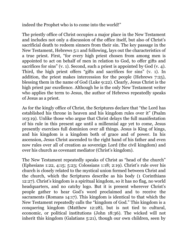indeed the Prophet who is to come into the world!"

The priestly office of Christ occupies a major place in the New Testament and includes not only a discussion of the office itself, but also of Christ's sacrificial death to redeem sinners from their sin. The key passage in the New Testament, Hebrews 5:1 and following, lays out the characteristics of a true priest. First, "for every high priest chosen from among men is appointed to act on behalf of men in relation to God, to offer gifts and sacrifices for sins" (v. 1). Second, such a priest is appointed by God (v. 4). Third, the high priest offers "gifts and sacrifices for sins" (v. 1). In addition, the priest makes intercession for the people (Hebrews 7:25), blessing them in the name of God (Luke 9:22). Clearly, Jesus Christ is the high priest par excellence. Although he is the only New Testament writer who applies the term to Jesus, the author of Hebrews repeatedly speaks of Jesus as a priest.

As for the kingly office of Christ, the Scriptures declare that "the Lord has established his throne in heaven and his kingdom rules over it" (Psalm 103:19). Unlike those who argue that Christ delays the full manifestation of his rule in this present age until a millennial age yet to come, Jesus presently exercises full dominion over all things. Jesus is King of kings, and his kingdom is a kingdom both of grace and of power. In his ascension, Jesus Christ ascended to the right hand of his father and even now rules over all of creation as sovereign Lord (the civil kingdom) and over his church as covenant mediator (Christ's kingdom).

The New Testament repeatedly speaks of Christ as "head of the church" (Ephesians 1:22, 4:15; 5:23; Colossians 1:18; 2:19). Christ's rule over his church is closely related to the mystical union formed between Christ and the church, which the Scriptures describe as his body (1 Corinthians 12:27). Christ's kingdom is a spiritual kingdom, so it has no flag, no world headquarters, and no catchy logo. But it is present wherever Christ's people gather to hear God's word proclaimed and to receive the sacraments (Romans 14:17). This kingdom is identical to that which the New Testament repeatedly calls the "kingdom of God." This kingdom is a conquering kingdom (Matthew 12:28), but is not tied to cultural, economic, or political institutions (John 18:36). The wicked will not inherit this kingdom (Galatians 5:21), though our own children, seen by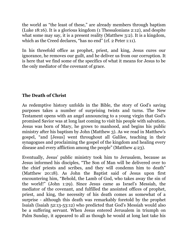the world as "the least of these," are already members through baptism (Luke 18:16). It is a glorious kingdom (1 Thessalonians 2:12), and despite what some may say, it is a present reality (Matthew 3:2). It is a kingdom, which as the Creed declares, "has no end" (cf. 2 Peter 1:11).

In his threefold office as prophet, priest, and king, Jesus cures our ignorance, he removes our guilt, and he deliver us from our corruption. It is here that we find some of the specifics of what it means for Jesus to be the only mediator of the covenant of grace.

# **The Death of Christ**

As redemptive history unfolds in the Bible, the story of God's saving purposes takes a number of surprising twists and turns. The New Testament opens with an angel announcing to a young virgin that God's promised Savior was at long last coming to visit his people with salvation. Jesus was born of Mary, he grows to manhood, and begins his public ministry after his baptism by John (Matthew 3). As we read in Matthew's gospel, "and [Jesus] went throughout all Galilee, teaching in their synagogues and proclaiming the gospel of the kingdom and healing every disease and every affliction among the people" (Matthew 4:23).

Eventually, Jesus' public ministry took him to Jerusalem, because as Jesus informed his disciples, "The Son of Man will be delivered over to the chief priests and scribes, and they will condemn him to death" (Matthew 20:18). As John the Baptist said of Jesus upon first encountering him, "Behold, the Lamb of God, who takes away the sin of the world!" (John 1:29). Since Jesus came as Israel's Messiah, the mediator of the covenant, and fulfilled the anointed offices of prophet, priest, and king, the necessity of his death comes as somewhat of a surprise - although this death was remarkably foretold by the prophet Isaiah (Isaiah 52:13-53:12) who predicted that God's Messiah would also be a suffering servant. When Jesus entered Jerusalem in triumph on Palm Sunday, it appeared to all as though he would at long last take his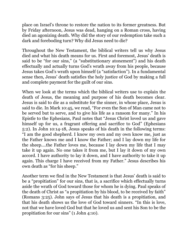place on Israel's throne to restore the nation to its former greatness. But by Friday afternoon, Jesus was dead, hanging on a Roman cross, having died an agonizing death. Why did the story of our redemption take such a dark and foreboding turn? Why did Jesus need to die?

Throughout the New Testament, the biblical writers tell us why Jesus died and what his death means for us. First and foremost, Jesus' death is said to be "for our sins," (a "substitutionary atonement") and his death effectually and actually turns God's wrath away from his people, because Jesus takes God's wrath upon himself (a "satisfaction"). In a fundamental sense then, Jesus' death satisfies the holy justice of God by making a full and complete payment for the guilt of our sins.

When we look at the terms which the biblical writers use to explain the death of Jesus, the meaning and purpose of his death becomes clear. Jesus is said to die as a substitute for the sinner, in whose place, Jesus is said to die. In Mark 10:45, we read, "For even the Son of Man came not to be served but to serve, and to give his life as a ransom for many." In his Epistle to the Ephesians, Paul notes that "Jesus Christ loved us and gave himself up for us, a fragrant offering and sacrifice to God" (Ephesians 5:2). In John 10:14-18, Jesus speaks of his death in the following terms: "I am the good shepherd. I know my own and my own know me, just as the Father knows me and I know the Father; and I lay down my life for the sheep....the Father loves me, because I lay down my life that I may take it up again. No one takes it from me, but I lay it down of my own accord. I have authority to lay it down, and I have authority to take it up again. This charge I have received from my Father." Jesus describes his own death as "for his sheep."

Another term we find in the New Testament is that Jesus' death is said to be a "propitiation" for our sins, that is, a sacrifice which effectually turns aside the wrath of God toward those for whom he is dying. Paul speaks of the death of Christ as "a propitiation by his blood, to be received by faith" (Romans 3:25). John says of Jesus that his death is a propitiation, and that his death shows us the love of God toward sinners. "In this is love, not that we have loved God but that he loved us and sent his Son to be the propitiation for our sins" (1 John 4:10).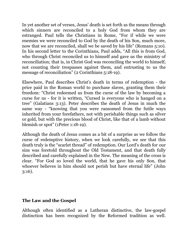In yet another set of verses, Jesus' death is set forth as the means through which sinners are reconciled to a holy God from whom they are estranged. Paul tells the Christians in Rome, "For if while we were enemies we were reconciled to God by the death of his Son, much more, now that we are reconciled, shall we be saved by his life" (Romans 5:10). In his second letter to the Corinthians, Paul adds, "All this is from God, who through Christ reconciled us to himself and gave us the ministry of reconciliation; that is, in Christ God was reconciling the world to himself, not counting their trespasses against them, and entrusting to us the message of reconciliation" (2 Corinthians 5:18-19).

Elsewhere, Paul describes Christ's death in terms of redemption - the price paid in the Roman world to purchase slaves, granting them their freedom: "Christ redeemed us from the curse of the law by becoming a curse for us - for it is written, "Cursed is everyone who is hanged on a tree" (Galatians 3:13). Peter describes the death of Jesus in much the same way - "knowing that you were ransomed from the futile ways inherited from your forefathers, not with perishable things such as silver or gold, but with the precious blood of Christ, like that of a lamb without blemish or spot" (1Peter 1:18-19).

Although the death of Jesus comes as a bit of a surprise as we follow the curse of redemptive history, when we look carefully, we see that this death truly is the "scarlet thread" of redemption. Our Lord's death for our sins was foretold throughout the Old Testament, and that death fully described and carefully explained in the New. The meaning of the cross is clear. "For God so loved the world, that he gave his only Son, that whoever believes in him should not perish but have eternal life" (John 3:16).

## **The Law and the Gospel**

Although often identified as a Lutheran distinctive, the law-gospel distinction has been recognized by the Reformed tradition as well.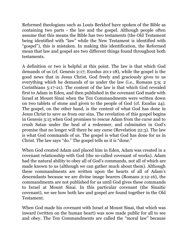Reformed theologians such as Louis Berkhof have spoken of the Bible as containing two parts - the law and the gospel. Although people often assume that this means the Bible has two testaments (the Old Testament being identified with "law" while the New Testament is identified with "gospel"), this is mistaken. In making this identification, the Reformed mean that law and gospel are two different things found throughout both testaments.

A definition or two is helpful at this point. The law is that which God demands of us (cf. Genesis 2:17; Exodus 20:1-18), while the gospel is the good news that in Jesus Christ, God freely and graciously gives to us everything which he demands of us under the law (i.e., Romans 5:9; 2 Corinthians 5:17-21). The content of the law is that which God revealed first to Adam in Eden, and then published in the covenant God made with Israel at Mount Sinai when the Ten Commandments were written down on two tablets of stone and given to the people of God (cf. Exodus 24). The gospel, on the other hand, is the content of what God has done in Jesus Christ to save us from our sins. The revelation of this gospel begins in Genesis 3:15 when God promises to rescue Adam from the curse and to crush Satan under the heal of a redeemer, and culminates in God's promise that no longer will there be any curse (Revelation 22:3). The law is what God commands of us. The gospel is what God has done for us in Christ. The law says "do." The gospel tells us it is "done."

When God created Adam and placed him in Eden, Adam was created in a covenant relationship with God (the so-called covenant of works). Adam had the natural ability to obey all of God's commands, not all of which are made known to us (although we can gather much about them). Although these commandments are written upon the hearts of all of Adam's descendants because we are divine image bearers (Romans 2:12-16), the commandments are not published for us until God gives these commands to Israel at Mount Sinai. In this particular covenant (the Sinaitic covenant), we see how both law and gospel are found together in the Old Testament.

When God made his covenant with Israel at Mount Sinai, that which was inward (written on the human heart) was now made public for all to see and obey. The Ten Commandments are called the "moral law" because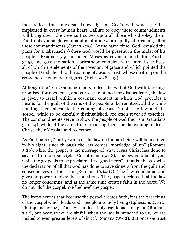they reflect this universal knowledge of God's will which he has implanted in every human heart. Failure to obey these commandments will bring down the covenant curses upon all those who disobey them. Fail to obey a single commandment and we are guilty of breaking all of these commandments (James 2:10). At the same time, God revealed the plans for a tabernacle (where God would be present in the midst of his people - Exodus 25:9), installed Moses as covenant mediator (Exodus 3:15), and gave the nation a priesthood complete with animal sacrifices, all of which are elements of the covenant of grace and which pointed the people of God ahead to the coming of Jesus Christ, whose death upon the cross these elements prefigured (Hebrews 8:1-13).

Although the Ten Commandments reflect the will of God with blessings promised for obedience, and curses threatened for disobedience, the law is given to Israel within a covenant context in which God provides a means for the guilt of the sins of the people to be remitted, all the while pointing them ahead to the coming of Jesus Christ. The law and the gospel, while to be carefully distinguished, are often revealed together. The commandments serve to show the people of God their sin (Galatians 3:10-14), while at the same time preparing them for the coming of Jesus Christ, their Messiah and redeemer.

As Paul puts it, "for by works of the law no human being will be justified in his sight, since through the law comes knowledge of sin" (Romans 3:20), while the gospel is the message of what Jesus Christ has done to save us from our sins (cf. 1 Corinthians 15:1-8). The law is to be obeyed, while the gospel is to be proclaimed as "good news" - that is, the gospel is the declaration of all that God has done to save sinners from the guilt and consequences of their sin (Romans 10:14-17). The law condemns and gives no power to obey its stipulations. The gospel declares that the law no longer condemns, and at the same time creates faith in the heart. We do not "do" the gospel. We "believe" the gospel.

The irony here is that because the gospel creates faith, it is the preaching of the gospel which leads God's people into holy living (Ephesians 2:1-10: Philippians 3:2-14). The law is indeed holy, righteous, and good (Romans 7:12), but because we are sinful, when the law is preached to us, we are incited to even greater levels of sin (cf. Romans 7:5-12). But once we trust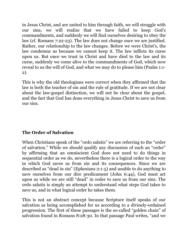in Jesus Christ, and are united to him through faith, we will struggle with our sins, we will realize that we have failed to keep God's commandments, and suddenly we will find ourselves desiring to obey the law (cf. Romans 7:22-23). The law does not change once we are justified. Rather, our relationship to the law changes. Before we were Christ's, the law condemns us because we cannot keep it. The law inflicts its curse upon us. But once we trust in Christ and have died to the law and its curse, suddenly we come alive to the commandments of God, which now reveal to us the will of God, and what we may do to please him (Psalm 1:1- 2).

This is why the old theologians were correct when they affirmed that the law is both the teacher of sin and the rule of gratitude. If we are not clear about the law-gospel distinction, we will not be clear about the gospel, and the fact that God has done everything in Jesus Christ to save us from our sins.

## **The Order of Salvation**

When Christians speak of the "ordo salutis" we are referring to the "order of salvation." While we should qualify any discussion of such an "order" by affirming that an omniscient God does not need to do things in sequential order as we do, nevertheless there is a logical order to the way in which God saves us from sin and its consequences. Since we are described as "dead in sin" (Ephesians 2:1-5) and unable to do anything to save ourselves from our dire predicament (John 6:44), God must act upon us while we are still "dead" in order to save us from our sins. The ordo salutis is simply an attempt to understand what steps God takes to save us, and in what logical order he takes them.

This is not an abstract concept because Scripture itself speaks of our salvation as being accomplished for us according to a divinely-ordained progression. The first of these passages is the so-called "golden chain" of salvation found in Romans 8:28-30. In that passage Paul writes, "and we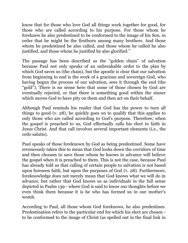know that for those who love God all things work together for good, for those who are called according to his purpose. For those whom he foreknew he also predestined to be conformed to the image of his Son, in order that he might be the firstborn among many brothers. And those whom he predestined he also called, and those whom he called he also justified, and those whom he justified he also glorified."

The passage has been described as the "golden chain" of salvation because Paul not only speaks of an unbreakable order to the plan by which God saves us (the chain), but the apostle is clear that our salvation from beginning to end is the work of a gracious and sovereign God, who having begun the process of our salvation, sees it through the end (the "gold"). There is no sense here that some of those chosen by God are eventually rejected, or that there is something good within the sinner which moves God to have pity on them and then act on their behalf.

Although Paul reminds his reader that God has the power to turn all things to good (v. 28), he quickly goes on to qualify that this applies to only those who are called according to God's purpose. Therefore, when the gospel is preached to us, God effectually calls his elect to faith in Jesus Christ. And that call involves several important elements (i.e., the ordo salutis).

Paul speaks of those foreknown by God as being predestined. Some have erroneously taken this to mean that God looks down the corridors of time and then chooses to save those whom he knows in advance will believe the gospel when it is preached to them. This is not the case, because Paul has already told us that calling of certain people to salvation is not based upon foreseen faith, but upon the purposes of God (v. 28). Furthermore, foreknowledge does not merely mean that God knows what we will do in advance, but rather that God knows us as individuals in the full sense depicted in Psalm 139 - where God is said to know our thoughts before we even think them because it is he who has formed us in our mother's womb.

According to Paul, all those whom God foreknows, he also predestines. Predestination refers to the particular end for which his elect are chosen to be conformed to the image of Christ (as spelled out in the final link in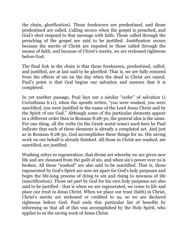the chain, glorification). Those foreknown are predestined, and those predestined are called. Calling occurs when the gospel is preached, and God's elect respond to that message with faith. Those called through the preaching of the gospel are said to be justified. Justification occurs because the merits of Christ are imputed to those called through the means of faith, and because of Christ's merits, we are reckoned righteous before God.

The final link in the chain is that those foreknown, predestined, called, and justified, are at last said to be glorified. That is, we are fully restored from the effects of sin on the day when the dead in Christ are raised. Paul's point is that God begins our salvation and ensures that it is completed.

In yet another passage, Paul lays out a similar "order" of salvation (1 Corinthians 6:11), when the apostle writes, "you were washed, you were sanctified, you were justified in the name of the Lord Jesus Christ and by the Spirit of our God." Although some of the particular elements appear in a different order than in Romans 8:28-30, the general idea is the same. For one thing, all the verbs (in the Greek aorist tense) used here by Paul indicate that each of these elements is already a completed act. And just as in Romans 8:28-30, God accomplishes these things for us. His saving work on our behalf is already finished. All those in Christ are washed, are sanctified, are justified.

Washing refers to regeneration, that divine act whereby we are given new life and are cleansed from the guilt of sin, and when sin's power over us is broken. All those "washed" are also said to be sanctified. That is, those regenerated by God's Spirit are now set apart for God's holy purposes and begin the life-long process of dying to sin and rising to newness of life (sanctification). Those set part by God for his own holy purposes are also said to be justified - that is when we are regenerated, we come to life and place our trust in Jesus Christ. When we place our trust (faith) in Christ, Christ's merits are reckoned or credited to us, so we are declared righteous before God. Paul ends this particular list of benefits by informing us that all of this was accomplished by the Holy Spirit, who applies to us the saving work of Jesus Christ.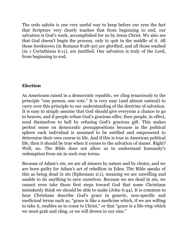The ordo salutis is one very useful way to keep before our eyes the fact that Scripture very clearly teaches that from beginning to end, our salvation is God's work, accomplished for us by Jesus Christ. We also see that God doesn't begin the process, only to quit in the middle of it. All those foreknown (in Romans 8:28-30) are glorified, and all those washed (in 1 Corinthians 6:11), are justified. Our salvation is truly of the Lord, from beginning to end.

# **Election**

As Americans raised in a democratic republic, we cling tenaciously to the principle "one person, one vote." It is very easy (and almost natural) to carry over this principle to our understanding of the doctrine of salvation. It is easy to simply assume that God should give everyone a chance to go to heaven, and if people refuse God's gracious offer, then people, in effect, send themselves to hell by refusing God's gracious gift. This makes perfect sense on democratic presuppositions because in the political sphere each individual is assumed to be entitled and empowered to determine their own course in life. And if this is true in American political life, then it should be true when it comes to the salvation of sinner. Right? Well, no. The Bible does not allow us to understand humanity's redemption from sin in such rosy terms.

Because of Adam's sin, we are all sinners by nature and by choice, and we are born guilty for Adam's act of rebellion in Eden. The Bible speaks of this as being dead in sin (Ephesians 2:1), meaning we are unwilling and unable to do anything to save ourselves. Because we are dead in sin, we cannot even take those first steps toward God that some Christians mistakenly think we should be able to make (John 6:44). It is common to hear Christians describe God's grace in generic, non-specific and medicinal terms such as, "grace is like a medicine which, if we are willing to take it, enables us to come to Christ," or that "grace is a life-ring which we must grab and cling, or we will drown in our sins."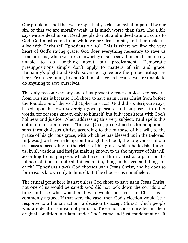Our problem is not that we are spiritually sick, somewhat impaired by our sin, or that we are morally weak. It is much worse than that. The Bible says we are dead in sin. Dead people do not, and indeed cannot, come to God. God must come to us while we are dead in sin, and then make us alive with Christ (cf. Ephesians 2:1-10). This is where we find the very heart of God's saving grace. God does everything necessary to save us from our sins, when we are so unworthy of such salvation, and completely unable to do anything about our predicament. Democratic presuppositions simply don't apply to matters of sin and grace. Humanity's plight and God's sovereign grace are the proper categories here. From beginning to end God must save us because we are unable to do anything to save ourselves.

The only reason why any one of us presently trusts in Jesus to save us from our sins is because God chose to save us in Jesus Christ from before the foundation of the world (Ephesians 1:4). God did so, Scripture says, based upon his own sovereign good pleasure and purpose - in other words, for reasons known only to himself, but fully consistent with God's holiness and justice. When addressing this very subject, Paul spells this out in no uncertain terms. "In love, [God] predestined us for adoption as sons through Jesus Christ, according to the purpose of his will, to the praise of his glorious grace, with which he has blessed us in the Beloved. In [Jesus] we have redemption through his blood, the forgiveness of our trespasses, according to the riches of his grace, which he lavished upon us, in all wisdom and insight making known to us the mystery of his will, according to his purpose, which he set forth in Christ as a plan for the fullness of time, to unite all things in him, things in heaven and things on earth" (Ephesians 1:3-7). God chooses us in Jesus Christ, and he does so for reasons known only to himself. But he chooses us nonetheless.

The critical point here is that unless God chose to save us in Jesus Christ, not one of us would be saved! God did not look down the corridors of time and see who would and who would not trust in Christ as is commonly argued. If that were the case, then God's election would be a response to a human action (a decision to accept Christ) which people who are dead in sin cannot perform. Those not chosen are left in their original condition in Adam, under God's curse and just condemnation. It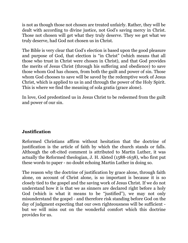is not as though those not chosen are treated unfairly. Rather, they will be dealt with according to divine justice, not God's saving mercy in Christ. Those not chosen will get what they truly deserve. They we get what we truly deserve, had God not chosen us in Christ.

The Bible is very clear that God's election is based upon the good pleasure and purpose of God, that election is "in Christ" (which means that all those who trust in Christ were chosen in Christ), and that God provides the merits of Jesus Christ (through his suffering and obedience) to save those whom God has chosen, from both the guilt and power of sin. Those whom God chooses to save will be saved by the redemptive work of Jesus Christ, which is applied to us in and through the power of the Holy Spirit. This is where we find the meaning of sola gratia (grace alone).

In love, God predestined us in Jesus Christ to be redeemed from the guilt and power of our sin.

# **Justification**

Reformed Christians affirm without hesitation that the doctrine of justification is the article of faith by which the church stands or falls. Although the oft-cited comment is attributed to Martin Luther, it was actually the Reformed theologian, J. H. Alsted (1588-1638), who first put these words to paper - no doubt echoing Martin Luther in doing so.

The reason why the doctrine of justification by grace alone, through faith alone, on account of Christ alone, is so important is because it is so closely tied to the gospel and the saving work of Jesus Christ. If we do not understand how it is that we as sinners are declared right before a holy God (which is what it means to be "justified"), we may not only misunderstand the gospel - and therefore risk standing before God on the day of judgment expecting that our own righteousness will be sufficient but we will miss out on the wonderful comfort which this doctrine provides for us.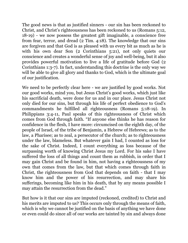The good news is that as justified sinners - our sin has been reckoned to Christ, and Christ's righteousness has been reckoned to us (Romans 5:12, 18-19) - we now possess the greatest gift imaginable, a conscience free from fear, terror, and dread (2 Tim. 4:18). The knowledge that our sins are forgiven and that God is as pleased with us every bit as much as he is with his own dear Son (2 Corinthians 5:21), not only quiets our conscience and creates a wonderful sense of joy and well-being, but it also provides powerful motivation to live a life of gratitude before God (2 Corinthians 1:3-7). In fact, understanding this doctrine is the only way we will be able to give all glory and thanks to God, which is the ultimate goal of our justification.

We need to be perfectly clear here - we are justified by good works. Not our good works, mind you, but Jesus Christ's good works, which just like his sacrificial death, were done for us and in our place. Jesus Christ not only died for our sins, but through his life of perfect obedience to God's commandments he fulfilled all righteousness (Romans 5:18-19). In Philippians 3:4-11, Paul speaks of this righteousness of Christ which comes from God through faith. "If anyone else thinks he has reason for confidence in the flesh, I have more: circumcised on the eighth day, of the people of Israel, of the tribe of Benjamin, a Hebrew of Hebrews; as to the law, a Pharisee; as to zeal, a persecutor of the church; as to righteousness under the law, blameless. But whatever gain I had, I counted as loss for the sake of Christ. Indeed, I count everything as loss because of the surpassing worth of knowing Christ Jesus my Lord. For his sake I have suffered the loss of all things and count them as rubbish, in order that I may gain Christ and be found in him, not having a righteousness of my own that comes from the law, but that which comes through faith in Christ, the righteousness from God that depends on faith - that I may know him and the power of his resurrection, and may share his sufferings, becoming like him in his death, that by any means possible I may attain the resurrection from the dead."

But how is it that our sins are imputed (reckoned, credited) to Christ and his merits are imputed to us? This occurs only through the means of faith, which is why we cannot be justified on the basis of anything we have done or even could do since all of our works are tainted by sin and always done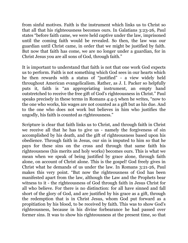from sinful motives. Faith is the instrument which links us to Christ so that all that his righteousness becomes ours. In Galatians 3:23-26, Paul states "before faith came, we were held captive under the law, imprisoned until the coming faith would be revealed. So then, the law was our guardian until Christ came, in order that we might be justified by faith. But now that faith has come, we are no longer under a guardian, for in Christ Jesus you are all sons of God, through faith."

It is important to understand that faith is not that one work God expects us to perform. Faith is not something which God sees in our hearts which he then rewards with a status of "justified" - a view widely held throughout American evangelicalism. Rather, as J. I. Packer so helpfully puts it, faith is "an appropriating instrument, an empty hand outstretched to receive the free gift of God's righteousness in Christ." Paul speaks precisely in these terms in Romans 4:4-5 when he writes, "now to the one who works, his wages are not counted as a gift but as his due. And to the one who does not work but believes in him who justifies the ungodly, his faith is counted as righteousness."

Scripture is clear that faith links us to Christ, and through faith in Christ we receive all that he has to give us - namely the forgiveness of sin accomplished by his death, and the gift of righteousness based upon his obedience. Through faith in Jesus, our sin is imputed to him so that he pays for these sins on the cross and through that same faith his righteousness (his merits and holy works) becomes ours. This is what we mean when we speak of being justified by grace alone, through faith alone, on account of Christ alone. This is the gospel! God freely gives in Christ what he demands of us under the law. In Romans 3:21-26, Paul makes this very point. "But now the righteousness of God has been manifested apart from the law, although the Law and the Prophets bear witness to it - the righteousness of God through faith in Jesus Christ for all who believe. For there is no distinction: for all have sinned and fall short of the glory of God, and are justified by his grace as a gift, through the redemption that is in Christ Jesus, whom God put forward as a propitiation by his blood, to be received by faith. This was to show God's righteousness, because in his divine forbearance he had passed over former sins. It was to show his righteousness at the present time, so that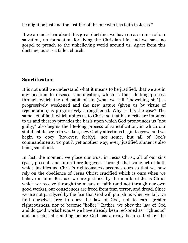he might be just and the justifier of the one who has faith in Jesus."

If we are not clear about this great doctrine, we have no assurance of our salvation, no foundation for living the Christian life, and we have no gospel to preach to the unbelieving world around us. Apart from this doctrine, ours is a fallen church.

## **Sanctification**

It is not until we understand what it means to be justified, that we are in any position to discuss sanctification, which is that life-long process through which the old habit of sin (what we call "indwelling sin") is progressively weakened and the new nature (given us by virtue of regeneration) is progressively strengthened. Why is this the case? The same act of faith which unites us to Christ so that his merits are imputed to us and thereby provides the basis upon which God pronounces us "not guilty," also begins the life-long process of sanctification, in which our sinful habits begin to weaken, new Godly affections begin to grow, and we begin to obey (however, feebly), not some, but all of God's commandments. To put it yet another way, every justified sinner is also being sanctified.

In fact, the moment we place our trust in Jesus Christ, all of our sins (past, present, and future) are forgiven. Through that same act of faith which justifies us, Christ's righteousness becomes ours so that we now rely on the obedience of Jesus Christ crucified which is ours when we believe in him. Because we are justified by the merits of Jesus Christ which we receive through the means of faith (and not through our own good works), our consciences are freed from fear, terror, and dread. Since we are not paralyzed by the fear that God will punish us when we fail, we find ourselves free to obey the law of God, not to earn greater righteousness, nor to become "holier." Rather, we obey the law of God and do good works because we have already been reckoned as "righteous" and our eternal standing before God has already been settled by the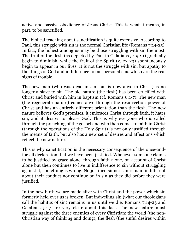active and passive obedience of Jesus Christ. This is what it means, in part, to be sanctified.

The biblical teaching about sanctification is quite extensive. According to Paul, this struggle with sin is the normal Christian life (Romans 7:14-25). In fact, the holiest among us may be those struggling with sin the most. The fruit of the flesh (as depicted by Paul in Galatians 5:19-21) gradually begin to diminish, while the fruit of the Spirit (v. 22-23) spontaneously begin to appear in our lives. It is not the struggle with sin, but apathy to the things of God and indifference to our personal sins which are the real signs of trouble.

The new man (who was dead in sin, but is now alive in Christ) is no longer a slave to sin. The old nature (the flesh) has been crucified with Christ and buried with him in baptism (cf. Romans 6:1-7). The new man (the regenerate nature) comes alive through the resurrection power of Christ and has an entirely different orientation than the flesh. The new nature believes God's promises, it embraces Christ through faith, it hates sin, and it desires to please God. This is why everyone who is called through the preaching of the gospel and who then comes to faith in Christ (through the operations of the Holy Spirit) is not only justified through the means of faith, but also has a new set of desires and affections which reflect the new nature.

This is why sanctification is the necessary consequence of the once-andfor-all declaration that we have been justified. Whenever someone claims to be justified by grace alone, through faith alone, on account of Christ alone but then continues to live in indifference to sin without struggling against it, something is wrong. No justified sinner can remain indifferent about their conduct nor continue on in sin as they did before they were justified.

In the new birth we are made alive with Christ and the power which sin formerly held over us is broken. But indwelling sin (what our theologians call the habitus of sin) remains in us until we die. Romans 7:14-25 and Galatians 5:17 are very clear about this fact. The new nature must struggle against the three enemies of every Christian: the world (the non-Christian way of thinking and doing), the flesh (the sinful desires within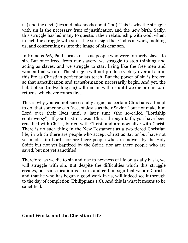us) and the devil (lies and falsehoods about God). This is why the struggle with sin is the necessary fruit of justification and the new birth. Sadly, this struggle has led many to question their relationship with God, when, in fact, the struggle with sin is the sure sign that God is at work, molding us, and conforming us into the image of his dear son.

In Romans 6:6, Paul speaks of us as people who were formerly slaves to sin. But once freed from our slavery, we struggle to stop thinking and acting as slaves, and we struggle to start living like the free men and women that we are. The struggle will not produce victory over all sin in this life as Christian perfectionists teach. But the power of sin is broken so that sanctification and transformation necessarily begin. And yet, the habit of sin (indwelling sin) will remain with us until we die or our Lord returns, whichever comes first.

This is why you cannot successfully argue, as certain Christians attempt to do, that someone can "accept Jesus as their Savior," but not make him Lord over their lives until a later time (the so-called "Lordship controversy"). If you trust in Jesus Christ through faith, you have been crucified with Christ, buried with Christ, and are now alive with Christ. There is no such thing in the New Testament as a two-tiered Christian life, in which there are people who accept Christ as Savior but have not yet made him Lord, nor are there people who are indwelt by the Holy Spirit but not yet baptized by the Spirit, nor are there people who are saved, but not yet sanctified.

Therefore, as we die to sin and rise to newness of life on a daily basis, we will struggle with sin. But despite the difficulties which this struggle creates, our sanctification is a sure and certain sign that we are Christ's and that he who has begun a good work in us, will indeed see it through to the day of completion (Philippians 1:6). And this is what it means to be sanctified.

## **Good Works and the Christian Life**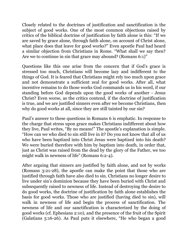Closely related to the doctrines of justification and sanctification is the subject of good works. One of the most common objections raised by critics of the biblical doctrine of justification by faith alone is this: "If we are saved by grace alone, through faith alone, on account of Christ alone, what place does that leave for good works?" Even apostle Paul had heard a similar objection from Christians in Rome. "What shall we say then? Are we to continue in sin that grace may abound? (Romans 6:1)"

Questions like this one arise from the concern that if God's grace is stressed too much, Christians will become lazy and indifferent to the things of God. It is feared that Christians might rely too much upon grace and not demonstrate a sufficient zeal for good works. After all, what incentive remains to do those works God commands us in his word, if our standing before God depends upon the good works of another - Jesus Christ? Even worse, as the critics contend, if the doctrine of justification is true, and we are justified sinners even after we become Christians, then why do good works at all, since they are still tainted by our sin?

Paul's answer to these questions in Romans 6 is emphatic. In response to the charge that stress upon grace makes Christians indifferent about how they live, Paul writes, "By no means!" The apostle's explanation is simple. "How can we who died to sin still live in it? Do you not know that all of us who have been baptized into Christ Jesus were baptized into his death? We were buried therefore with him by baptism into death, in order that, just as Christ was raised from the dead by the glory of the Father, we too might walk in newness of life" (Romans 6:2-4).

After arguing that sinners are justified by faith alone, and not by works (Romans 3:21-28), the apostle can make the point that those who are justified through faith have also died to sin. Christians no longer desire to live under sin's dominion because they have been buried with Christ and subsequently raised to newness of life. Instead of destroying the desire to do good works, the doctrine of justification by faith alone establishes the basis for good works. Those who are justified (having died to sin), will walk in newness of life and begin the process of sanctification. The newness of life and our sanctification is characterized by the doing of good works (cf. Ephesians 2:10), and the presence of the fruit of the Spirit (Galatians 5:16-26). As Paul puts it elsewhere, "He who began a good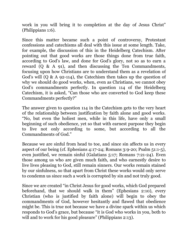work in you will bring it to completion at the day of Jesus Christ" (Philippians 1:6).

Since this matter became such a point of controversy, Protestant confessions and catechisms all deal with this issue at some length. Take, for example, the discussion of this in the Heidelberg Catechism. After pointing out that good works are those things done from true faith, according to God's law, and done for God's glory, not so as to earn a reward (Q & A 91), and then discussing the Ten Commandments, focusing upon how Christians are to understand them as a revelation of God's will (Q & A 92-114), the Catechism then takes up the question of why we should do good works, when, even as Christians, we cannot obey God's commandments perfectly. In question 114 of the Heidelberg Catechism, it is asked, "Can those who are converted to God keep these Commandments perfectly?"

The answer given to question 114 in the Catechism gets to the very heart of the relationship between justification by faith alone and good works. "No, but even the holiest men, while in this life, have only a small beginning of such obedience, yet so that with earnest purpose they begin to live not only according to some, but according to all the Commandments of God."

Because we are sinful from head to toe, and since sin affects us in every aspect of our being (cf. Ephesians 4:17-24; Romans 3:9-20; Psalm 51:1-5), even justified, we remain sinful (Galatians 5:17; Romans 7:21-24). Even those among us who are given much faith, and who earnestly desire to live lives pleasing to God, still remain sinners. Our works remain stained by our sinfulness, so that apart from Christ these works would only serve to condemn us since such a work is corrupted by sin and not truly good.

Since we are created "in Christ Jesus for good works, which God prepared beforehand, that we should walk in them" (Ephesians 2:10), every Christian (who is justified by faith alone) will begin to obey the commandments of God, however hesitantly and flawed that obedience might be. This is true not because we have a divine spark within us which responds to God's grace, but because "it is God who works in you, both to will and to work for his good pleasure" (Philippians 2:13).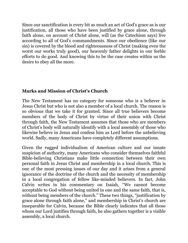Since our sanctification is every bit as much an act of God's grace as is our justification, all those who have been justified by grace alone, through faith alone, on account of Christ alone, will (as the Catechism says) live according to all of God's commandments. Since our obedience (like our sin) is covered by the blood and righteousness of Christ (making even the worst our works truly good), our heavenly father delights in our feeble efforts to do good. And knowing this to be the case creates within us the desire to obey all the more.

## **Marks and Mission of Christ's Church**

The New Testament has no category for someone who is a believer in Jesus Christ but who is not also a member of a local church. The reason is so obvious that we take it for granted. Since all true believers become members of the body of Christ by virtue of their union with Christ through faith, the New Testament assumes that those who are members of Christ's body will naturally identify with a local assembly of those who likewise believe in Jesus and confess him as Lord before the unbelieving world. Sadly, many Americans have completely different assumptions.

Given the rugged individualism of American culture and our innate suspicion of authority, many Americans who consider themselves faithful Bible-believing Christians make little connection between their own personal faith in Jesus Christ and membership in a local church. This is one of the most pressing issues of our day and it arises from a general ignorance of the doctrine of the church and the necessity of membership in a local congregation of fellow like-minded believers. In fact, John Calvin writes in his commentary on Isaiah, "We cannot become acceptable to God without being united in one and the same faith, that is, without being members of the church." These two things, "justification by grace alone through faith alone," and membership in Christ's church are inseparable for Calvin, because the Bible clearly indicates that all those whom our Lord justifies through faith, he also gathers together is a visible assembly, a local church.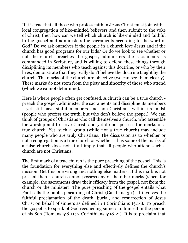If it is true that all those who profess faith in Jesus Christ must join with a local congregation of like-minded believers and then submit to the yoke of Christ, then how can we tell which church is like-minded and faithful to the gospel and administers the sacraments according to the word of God? Do we ask ourselves if the people in a church love Jesus and if the church has good programs for our kids? Or do we look to see whether or not the church preaches the gospel, administers the sacraments as commanded in Scripture, and is willing to defend these things through disciplining its members who teach against this doctrine, or who by their lives, demonstrate that they really don't believe the doctrine taught by the church. The marks of the church are objective (we can see them clearly). These marks do not stem from the piety and sincerity of those who attend (which we cannot determine).

Here is where people often get confused. A church can be a true church preach the gospel, administer the sacraments and discipline its members - yet still have sinful members and non-Christians within its midst (people who profess the truth, but who don't believe the gospel). We can think of groups of Christians who call themselves a church, who assemble for worship and to serve Christ, and yet do not possess the marks of a true church. Yet, such a group (while not a true church) may include many people who are truly Christians. The discussion as to whether or not a congregation is a true church or whether it has some of the marks of a false church does not at all imply that all people who attend such a church are not Christians.

The first mark of a true church is the pure preaching of the gospel. This is the foundation for everything else and effectively defines the church's mission. Get this one wrong and nothing else matters! If this mark is not present then a church cannot possess any of the other marks (since, for example, the sacraments draw their efficacy from the gospel, not from the church or the minister). The pure preaching of the gospel entails what Paul calls the public placarding of Christ (Galatians 3:1). It involves the faithful proclamation of the death, burial, and resurrection of Jesus Christ on behalf of sinners as defined in 1 Corinthians 15:1-8. To preach the gospel is to speak of God reconciling sinners to himself in the person of his Son (Romans 5:8-11; 2 Corinthians 5:18-21). It is to proclaim that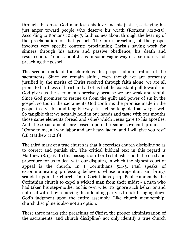through the cross, God manifests his love and his justice, satisfying his just anger toward people who deserve his wrath (Romans 3:20-25). According to Romans 10:14-17, faith comes about through the hearing of the proclamation of that gospel. The pure preaching of the gospel involves very specific content: proclaiming Christ's saving work for sinners through his active and passive obedience, his death and resurrection. To talk about Jesus in some vague way in a sermon is not preaching the gospel!

The second mark of the church is the proper administration of the sacraments. Since we remain sinful, even though we are presently justified by the merits of Christ received through faith alone, we are all prone to hardness of heart and all of us feel the constant pull toward sin. God gives us the sacraments precisely because we are weak and sinful. Since God promises to rescue us from the guilt and power of sin in the gospel, so too in the sacraments God confirms the promise made in the gospel in a visible and tangible way. In fact, so tangible that we get wet. So tangible that we actually hold in our hands and taste with our mouths those same elements (bread and wine) which Jesus gave to his apostles. And these sacraments are based upon the same covenant promise - "Come to me, all who labor and are heavy laden, and I will give you rest" (cf. Matthew 11:28)!

The third mark of a true church is that it exercises church discipline so as to correct and punish sin. The critical biblical text in this regard is Matthew 18:15-17. In this passage, our Lord establishes both the need and procedure for us to deal with our disputes, in which the highest court of appeal is the church. In 1 Corinthians 5:4-5, Paul speaks of excommunicating professing believers whose unrepentant sin brings scandal upon the church. In 1 Corinthians 5:13, Paul commands the Corinthian church to expel a wicked man from their midst - a man who had taken his step-mother as his own wife. To ignore such behavior and not deal with it by removing the offending party is to risk bringing down God's judgment upon the entire assembly. Like church membership, church discipline is also not an option.

These three marks (the preaching of Christ, the proper administration of the sacraments, and church discipline) not only identify a true church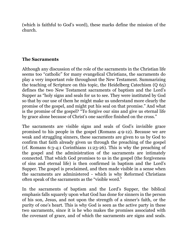(which is faithful to God's word), these marks define the mission of the church.

## **The Sacraments**

Although any discussion of the role of the sacraments in the Christian life seems too "catholic" for many evangelical Christians, the sacraments do play a very important role throughout the New Testament. Summarizing the teaching of Scripture on this topic, the Heidelberg Catechism (Q 65) defines the two New Testament sacraments of baptism and the Lord's Supper as "holy signs and seals for us to see. They were instituted by God so that by our use of them he might make us understand more clearly the promise of the gospel, and might put his seal on that promise." And what is the promise of the gospel? "To forgive our sins and give us eternal life by grace alone because of Christ's one sacrifice finished on the cross."

The sacraments are visible signs and seals of God's invisible grace promised to his people in the gospel (Romans 4:9-12). Because we are weak and struggling sinners, these sacraments are given to us by God to confirm that faith already given us through the preaching of the gospel (cf. Romans 6:3-4;1 Corinthians 11:23-26). This is why the preaching of the gospel and the administration of the sacraments are intimately connected. That which God promises to us in the gospel (the forgiveness of sins and eternal life) is then confirmed in baptism and the Lord's Supper. The gospel is proclaimed, and then made visible in a sense when the sacraments are administered - which is why Reformed Christians often speak of the sacraments as the "visible word."

In the sacraments of baptism and the Lord's Supper, the biblical emphasis falls squarely upon what God has done for sinners in the person of his son, Jesus, and not upon the strength of a sinner's faith, or the purity of one's heart. This is why God is seen as the active party in these two sacraments, since it is he who makes the promises associated with the covenant of grace, and of which the sacraments are signs and seals.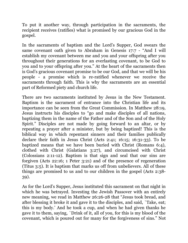To put it another way, through participation in the sacraments, the recipient receives (ratifies) what is promised by our gracious God in the gospel.

In the sacraments of baptism and the Lord's Supper, God swears the same covenant oath given to Abraham in Genesis 17:7 - "And I will establish my covenant between me and you and your offspring after you throughout their generations for an everlasting covenant, to be God to you and to your offspring after you." At the heart of the sacraments then is God's gracious covenant promise to be our God, and that we will be his people - a promise which is re-ratified whenever we receive the sacraments through faith. This is why the sacraments are an essential part of Reformed piety and church life.

There are two sacraments instituted by Jesus in the New Testament. Baptism is the sacrament of entrance into the Christian life and its importance can be seen from the Great Commission. In Matthew 28:19, Jesus instructs his disciples to "go and make disciples of all nations, baptizing them in the name of the Father and of the Son and of the Holy Spirit." Disciples are not made by going forward to an altar, or by repeating a prayer after a minister, but by being baptized! This is the biblical way in which repentant sinners and their families publically declare their faith in Jesus Christ (Acts 2:41; 16:15; 16:31-33). To be baptized means that we have been buried with Christ (Romans 6:4), clothed with Christ (Galatians 3:27), and circumcised with Christ (Colossians 2:11-12). Baptism is that sign and seal that our sins are forgiven (Acts 22:16; 1 Peter 3:21) and of the presence of regeneration (Titus 3:5). It is baptism that marks us off from unbelievers. All of these things are promised to us and to our children in the gospel (Acts 2:38- 39).

As for the Lord's Supper, Jesus instituted this sacrament on that night in which he was betrayed. Investing the Jewish Passover with an entirely new meaning, we read in Matthew 26:26-28 that "Jesus took bread, and after blessing it broke it and gave it to the disciples, and said, `Take, eat; this is my body.' And he took a cup, and when he had given thanks he gave it to them, saying, `Drink of it, all of you, for this is my blood of the covenant, which is poured out for many for the forgiveness of sins." Not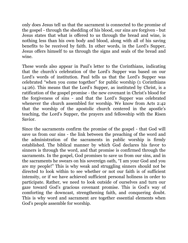only does Jesus tell us that the sacrament is connected to the promise of the gospel - through the shedding of his blood, our sins are forgiven - but Jesus states that what is offered to us through the bread and wine, is nothing less than his own body and blood, along with all of his saving benefits to be received by faith. In other words, in the Lord's Supper, Jesus offers himself to us through the signs and seals of the bread and wine.

These words also appear in Paul's letter to the Corinthians, indicating that the church's celebration of the Lord's Supper was based on our Lord's words of institution. Paul tells us that the Lord's Supper was celebrated "when you come together" for public worship (1 Corinthians 14:26). This means that the Lord's Supper, as instituted by Christ, is a ratification of the gospel promise - the new covenant in Christ's blood for the forgiveness of sins - and that the Lord's Supper was celebrated whenever the church assembled for worship. We know from Acts 2:42 that the worship of the apostolic church centered in the apostle's teaching, the Lord's Supper, the prayers and fellowship with the Risen Savior.

Since the sacraments confirm the promise of the gospel - that God will save us from our sins - the link between the preaching of the word and the administration of the sacraments in public worship is firmly established. The biblical manner by which God declares his favor to sinners is through the word, and that promise is confirmed through the sacraments. In the gospel, God promises to save us from our sins, and in the sacraments he swears on his sovereign oath, "I am your God and you are my people!" This is why weak and struggling sinners should not be directed to look within to see whether or not our faith is of sufficient intensity, or if we have achieved sufficient personal holiness in order to participate. Rather, we need to look outside of ourselves and turn our gaze toward God's gracious covenant promise. This is God's way of comforting the downcast, strengthening faith, and conquering doubt. This is why word and sacrament are together essential elements when God's people assemble for worship.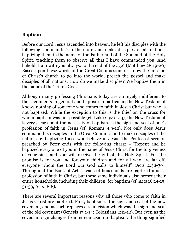#### **Baptism**

Before our Lord Jesus ascended into heaven, he left his disciples with the following command: "Go therefore and make disciples of all nations, baptizing them in the name of the Father and of the Son and of the Holy Spirit, teaching them to observe all that I have commanded you. And behold, I am with you always, to the end of the age" (Matthew 28:19-20) Based upon these words of the Great Commission, it is now the mission of Christ's church to go into the world, preach the gospel and make disciples of all nations. How do we make disciples? We baptize them in the name of the Triune God.

Although many professing Christians today are strangely indifferent to the sacraments in general and baptism in particular, the New Testament knows nothing of someone who comes to faith in Jesus Christ but who is not baptized. While the exception to this is the thief on the cross for whom baptism was not possible (cf. Luke 23:40-43), the New Testament is very clear about the necessity of baptism as the sign and seal of one's profession of faith in Jesus (cf. Romans 4:9-12). Not only does Jesus command his disciples in the Great Commission to make disciples of the nations by baptizing those who believe in Jesus, the Pentecost sermon preached by Peter ends with the following charge - "Repent and be baptized every one of you in the name of Jesus Christ for the forgiveness of your sins, and you will receive the gift of the Holy Spirit. For the promise is for you and for your children and for all who are far off, everyone whom the Lord our God calls to himself" (Acts 2:38-39). Throughout the Book of Acts, heads of households are baptized upon a profession of faith in Christ, but these same individuals also present their entire households, including their children, for baptism (cf. Acts 16:14-15; 31-33; Acts 18:8).

There are several important reasons why all those who come to faith in Jesus Christ are baptized. First, baptism is the sign and seal of the new covenant, and as such replaces circumcision which was the sign and seal of the old covenant (Genesis 17:1-14; Colossians 2:11-12). But even as the covenant sign changes from circumcision to baptism, the thing signified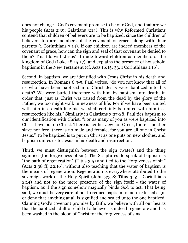does not change - God's covenant promise to be our God, and that are we his people (Acts 2:39; Galatians 3:14). This is why Reformed Christians contend that children of believers are to be baptized, since the children of believers too are members of the covenant of grace, along with their parents (1 Corinthians 7:14). If our children are indeed members of the covenant of grace, how can the sign and seal of that covenant be denied to them? This fits with Jesus' attitude toward children as members of the kingdom of God (Luke 18:15-17), and explains the presence of household baptisms in the New Testament (cf. Acts 16:15; 33, 1 Corinthians 1:16).

Second, in baptism, we are identified with Jesus Christ in his death and resurrection. In Romans 6:3-5, Paul writes, "do you not know that all of us who have been baptized into Christ Jesus were baptized into his death? We were buried therefore with him by baptism into death, in order that, just as Christ was raised from the dead by the glory of the Father, we too might walk in newness of life. For if we have been united with him in a death like his, we shall certainly be united with him in a resurrection like his." Similarly in Galatians 3:27-28, Paul ties baptism to our identification with Christ. "For as many of you as were baptized into Christ have put on Christ. There is neither Jew nor Greek, there is neither slave nor free, there is no male and female, for you are all one in Christ Jesus." To be baptized is to put on Christ as one puts on new clothes, and baptism unites us to Jesus in his death and resurrection.

Third, we must distinguish between the sign (water) and the thing signified (the forgiveness of sin). The Scriptures do speak of baptism as "the bath of regeneration" (Titus 3:5) and tied to the "forgiveness of sin" (Acts 2:38 ff; 22:16), without also teaching that the water of baptism is the means of regeneration. Regeneration is everywhere attributed to the sovereign work of the Holy Spirit (John 3:3-8; Titus 3:5; 1 Corinthians 2:14) and not to the mere presence of the sign itself - the water of baptism, as if the sign somehow magically binds God to act. That being said, we must be very careful not to reduce baptism to mere external sign, or deny that anything at all is signified and sealed unto the one baptized. Claiming God's covenant promise by faith, we believe with all our hearts that the baptized adult or child of a believer is indeed regenerate and has been washed in the blood of Christ for the forgiveness of sins.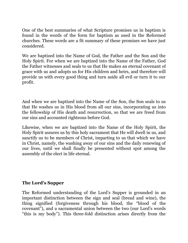One of the best summaries of what Scripture promises us in baptism is found in the words of the form for baptism as used in the Reformed churches. These words are a fit summary of these promises we have just considered.

We are baptized into the Name of God, the Father and the Son and the Holy Spirit. For when we are baptized into the Name of the Father, God the Father witnesses and seals to us that He makes an eternal covenant of grace with us and adopts us for His children and heirs, and therefore will provide us with every good thing and turn aside all evil or turn it to our profit.

And when we are baptized into the Name of the Son, the Son seals to us that He washes us in His blood from all our sins, incorporating us into the fellowship of His death and resurrection, so that we are freed from our sins and accounted righteous before God.

Likewise, when we are baptized into the Name of the Holy Spirit, the Holy Spirit assures us by this holy sacrament that He will dwell in us, and sanctify us to be members of Christ, imparting to us that which we have in Christ, namely, the washing away of our sins and the daily renewing of our lives, until we shall finally be presented without spot among the assembly of the elect in life eternal.

## **The Lord's Supper**

The Reformed understanding of the Lord's Supper is grounded in an important distinction between the sign and seal (bread and wine), the thing signified (forgiveness through his blood, the "blood of the covenant"), and a sacramental union between the two (our Lord's words "this is my body"). This three-fold distinction arises directly from the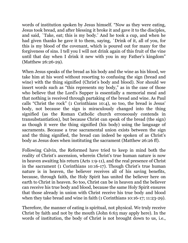words of institution spoken by Jesus himself. "Now as they were eating, Jesus took bread, and after blessing it broke it and gave it to the disciples, and said, `Take, eat; this is my body.' And he took a cup, and when he had given thanks he gave it to them, saying, `Drink of it, all of you, for this is my blood of the covenant, which is poured out for many for the forgiveness of sins. I tell you I will not drink again of this fruit of the vine until that day when I drink it new with you in my Father's kingdom" (Matthew 26:26-29).

When Jesus speaks of the bread as his body and the wine as his blood, we take him at his word without resorting to confusing the sign (bread and wine) with the thing signified (Christ's body and blood). Nor should we insert words such as "this represents my body," as in the case of those who believe that the Lord's Supper is essentially a memorial meal and that nothing is received through partaking of the bread and wine. As Paul calls "Christ the rock" (1 Corinthians 10:4), so too, the bread is Jesus' body, not because the sign is miraculously changed into the thing signified (as the Roman Catholic church erroneously contends in transubstantiation), but because Christ can speak of the bread (the sign) as though it were the thing signified (his body) using the language of sacraments. Because a true sacramental union exists between the sign and the thing signified, the bread can indeed be spoken of as Christ's body as Jesus does when instituting the sacrament (Matthew 26:26 ff).

Following Calvin, the Reformed have tried to keep in mind both the reality of Christ's ascension, wherein Christ's true human nature is now in heaven awaiting his return (Acts 1:9-11), and the real presence of Christ in the sacrament (1 Corinthians 10:16-17). Though Christ's true human nature is in heaven, the believer receives all of his saving benefits, because, through faith, the Holy Spirit has united the believer here on earth to Christ in heaven. So too, Christ can be in heaven and the believer can receive his true body and blood, because the same Holy Spirit ensures that those already in union with Christ receive his true body and blood when they take bread and wine in faith (1 Corinthians 10:16-17; 11:23-29).

Therefore, the manner of eating is spiritual, not physical. We truly receive Christ by faith and not by the mouth (John 6:63 may apply here). In the words of institution, the body of Christ is not brought down to us, i.e.,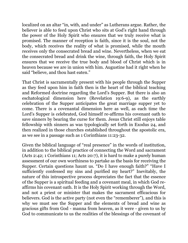localized on an altar "in, with, and under" as Lutherans argue. Rather, the believer is able to feed upon Christ who sits at God's right hand through the power of the Holy Spirit who ensures that we truly receive what is promised. The manner of reception is faith, since it is the soul, not the body, which receives the reality of what is promised, while the mouth receives only the consecrated bread and wine. Nevertheless, when we eat the consecrated bread and drink the wine, through faith, the Holy Spirit ensures that we receive the true body and blood of Christ which is in heaven because we are in union with him. Augustine had it right when he said "believe, and thou hast eaten."

That Christ is sacramentally present with his people through the Supper as they feed upon him in faith then is the heart of the biblical teaching and Reformed doctrine regarding the Lord's Supper. But there is also an eschatological dimension here (Revelation 19:6-9), as the earthly celebration of the Supper anticipates the great marriage supper yet to come. There is a covenantal dimension here as well, as each time the Lord's Supper is celebrated, God himself re-affirms his covenant oath to save sinners by bearing the curse for them. Jesus Christ still enjoys table fellowship with sinners as was typologically set forth in Exodus 24, and then realized in those churches established throughout the apostolic era, as we see in a passage such as 1 Corinthians 11:23-32.

Given the biblical language of "real presence" in the words of institution, in addition to the biblical practice of connecting the Word and sacrament (Acts 2:42; 1 Corinthians 11; Acts 20:7), it is hard to make a purely human assessment of our own worthiness to partake as the basis for receiving the Supper. Certain questions haunt us. "Do I have enough faith?" "Have I sufficiently confessed my sins and purified my heart?" Inevitably, the nature of this introspective process depreciates the fact that the essence of the Supper is a spiritual feeding and a covenant meal, in which God reaffirms his covenant oath. It is the Holy Spirit working through the Word, and not a priest or minister that makes the sacrament efficacious for believers. God is the active party (not even the "rememberer"), and this is why we must see the Supper and the elements of bread and wine as gracious gifts from God - manna from heaven, as it were - given to us by God to communicate to us the realities of the blessings of the covenant of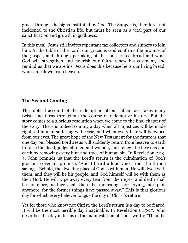grace, through the signs instituted by God. The Supper is, therefore, not incidental to the Christian life, but must be seen as a vital part of our sanctification and growth in godliness.

In this meal, Jesus still invites repentant tax collectors and sinners to join him. At the table of the Lord, our gracious God confirms the promise of the gospel, and through partaking of the consecrated bread and wine, God will strengthen and nourish our faith, renew his covenant, and remind us that we are his. Jesus does this because he is our living bread, who came down from heaven.

## **The Second Coming**

The biblical account of the redemption of our fallen race takes many twists and turns throughout the course of redemptive history. But the story comes to a glorious resolution when we come to the final chapter of the story. There is indeed coming a day when all injustices will be made right, all human suffering will cease, and when every tear will be wiped from our eyes. The great hope of the New Testament for the future is that one day our blessed Lord Jesus will suddenly return from heaven to earth to raise the dead, judge all men and women, and renew the heavens and earth by removing every hint and trace of human sin. In Revelation 21:3- 4, John reminds us that the Lord's return is the culmination of God's gracious covenant promise: "And I heard a loud voice from the throne saying, `Behold, the dwelling place of God is with man. He will dwell with them, and they will be his people, and God himself will be with them as their God. He will wipe away every tear from their eyes, and death shall be no more, neither shall there be mourning, nor crying, nor pain anymore, for the former things have passed away." This is that glorious day for which every believer longs - the day of Christ's return.

Yet for those who know not Christ, the Lord's return is a day to be feared. It will be the most terrible day imaginable. In Revelation 6:15-17, John describes this day in terms of the manifestation of God's wrath: "Then the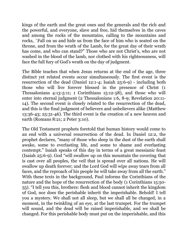kings of the earth and the great ones and the generals and the rich and the powerful, and everyone, slave and free, hid themselves in the caves and among the rocks of the mountains, calling to the mountains and rocks, `Fall on us and hide us from the face of him who is seated on the throne, and from the wrath of the Lamb, for the great day of their wrath has come, and who can stand?" Those who are not Christ's, who are not washed in the blood of the lamb, nor clothed with his righteousness, will face the full fury of God's wrath on the day of judgment.

The Bible teaches that when Jesus returns at the end of the age, three distinct yet related events occur simultaneously. The first event is the resurrection of the dead (Daniel 12:1-4; Isaiah 25:6-9) - including both those who will live forever blessed in the presence of Christ (1 Thessalonians 4:13-5:11; 1 Corinthians 15:12-58), and those who will enter into eternal judgment (2 Thessalonians 1:6, 8-9; Revelation 20:11- 14). The second event is closely related to the resurrection of the dead, and this is the final judgment of believers and unbelievers alike (Matthew 13:36-43; 25:31-46). The third event is the creation of a new heaven and earth (Romans 8:21; 2 Peter 3:10).

The Old Testament prophets foretold that human history would come to an end with a universal resurrection of the dead. In Daniel 12:2, the prophet declares, "many of those who sleep in the dust of the earth shall awake, some to everlasting life, and some to shame and everlasting contempt." Isaiah speaks of this day in terms of a great messianic feast (Isaiah 25:6-9). God "will swallow up on this mountain the covering that is cast over all peoples, the veil that is spread over all nations. He will swallow up death forever; and the Lord God will wipe away tears from all faces, and the reproach of his people he will take away from all the earth." With these texts in the background, Paul informs the Corinthians of the nature and the hope of the resurrection of the body (1 Corinthians 15:50- 55). "I tell you this, brothers: flesh and blood cannot inherit the kingdom of God, nor does the perishable inherit the imperishable. Behold! I tell you a mystery. We shall not all sleep, but we shall all be changed, in a moment, in the twinkling of an eye, at the last trumpet. For the trumpet will sound, and the dead will be raised imperishable, and we shall be changed. For this perishable body must put on the imperishable, and this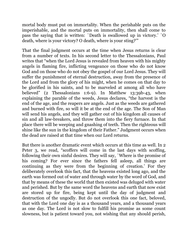mortal body must put on immortality. When the perishable puts on the imperishable, and the mortal puts on immortality, then shall come to pass the saying that is written: `Death is swallowed up in victory.' `O death, where is your victory? O death, where is your sting?'"

That the final judgment occurs at the time when Jesus returns is clear from a number of texts. In his second letter to the Thessalonians, Paul writes that "when the Lord Jesus is revealed from heaven with his mighty angels in flaming fire, inflicting vengeance on those who do not know God and on those who do not obey the gospel of our Lord Jesus. They will suffer the punishment of eternal destruction, away from the presence of the Lord and from the glory of his might, when he comes on that day to be glorified in his saints, and to be marveled at among all who have believed" (2 Thessalonians 1:6-9). In Matthew 13:39b-43, when explaining the parable of the weeds, Jesus declares, "the harvest is the end of the age, and the reapers are angels. Just as the weeds are gathered and burned with fire, so will it be at the end of the age. The Son of Man will send his angels, and they will gather out of his kingdom all causes of sin and all law-breakers, and throw them into the fiery furnace. In that place there will be weeping and gnashing of teeth. Then the righteous will shine like the sun in the kingdom of their Father." Judgment occurs when the dead are raised at that time when our Lord returns.

But there is another dramatic event which occurs at this time as well. In 2 Peter 3, we read, "scoffers will come in the last days with scoffing, following their own sinful desires. They will say, `Where is the promise of his coming? For ever since the fathers fell asleep, all things are continuing as they were from the beginning of creation.' For they deliberately overlook this fact, that the heavens existed long ago, and the earth was formed out of water and through water by the word of God, and that by means of these the world that then existed was deluged with water and perished. But by the same word the heavens and earth that now exist are stored up for fire, being kept until the day of judgment and destruction of the ungodly. But do not overlook this one fact, beloved, that with the Lord one day is as a thousand years, and a thousand years as one day. The Lord is not slow to fulfill his promise as some count slowness, but is patient toward you, not wishing that any should perish,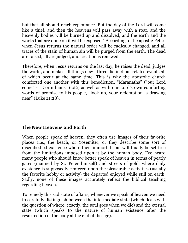but that all should reach repentance. But the day of the Lord will come like a thief, and then the heavens will pass away with a roar, and the heavenly bodies will be burned up and dissolved, and the earth and the works that are done on it will be exposed." According to the apostle Peter, when Jesus returns the natural order will be radically changed, and all traces of the stain of human sin will be purged from the earth. The dead are raised, all are judged, and creation is renewed.

Therefore, when Jesus returns on the last day, he raises the dead, judges the world, and makes all things new - three distinct but related events all of which occur at the same time. This is why the apostolic church comforted one another with this benediction, "Maranatha" ("our Lord come" - 1 Corinthians 16:22) as well as with our Lord's own comforting words of promise to his people, "look up, your redemption is drawing near" (Luke 21:28).

## **The New Heavens and Earth**

When people speak of heaven, they often use images of their favorite places (i.e., the beach, or Yosemite), or they describe some sort of disembodied existence where their immortal soul will finally be set free from the limitations imposed upon it by the human body. I've heard many people who should know better speak of heaven in terms of pearly gates (manned by St. Peter himself) and streets of gold, where daily existence is supposedly centered upon the pleasurable activities (usually the favorite hobby or activity) the departed enjoyed while still on earth. Sadly, none of these images accurately reflect the biblical teaching regarding heaven.

To remedy this sad state of affairs, whenever we speak of heaven we need to carefully distinguish between the intermediate state (which deals with the question of where, exactly, the soul goes when we die) and the eternal state (which speaks to the nature of human existence after the resurrection of the body at the end of the age).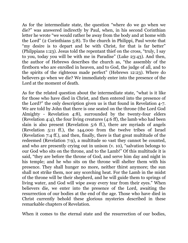As for the intermediate state, the question "where do we go when we die?" was answered indirectly by Paul, when, in his second Corinthian letter he wrote "we would rather be away from the body and at home with the Lord" (2 Corinthians 5:8). To the church in Philippi, Paul wrote that "my desire is to depart and be with Christ, for that is far better" (Philppians 1:23). Jesus told the repentant thief on the cross, "truly, I say to you, today you will be with me in Paradise" (Luke 23:43). And then, the author of Hebrews describes the church as, "the assembly of the firstborn who are enrolled in heaven, and to God, the judge of all, and to the spirits of the righteous made perfect" (Hebrews 12:23). Where do believers go when we die? We immediately enter into the presence of the Lord at the moment of death.

As for the related question about the intermediate state, "what is it like for those who have died in Christ, and then entered into the presence of the Lord?" the only description given us is that found in Revelation 4-7. We are told by John that there is one seated on the throne (the Lord God Almighty - Revelation 4:8), surrounded by the twenty-four elders (Revelation 4:4), the four living creatures (4:6 ff), the lamb who had been slain is also present (Revelation 5:6 ff.), there are myriads of angels (Revelation 5:11 ff.), the 144,000 from the twelve tribes of Israel (Revelation 7:4 ff.), and then, finally, there is that great multitude of the redeemed (Revelation 7:9), a multitude so vast they cannot be counted, and who are presently crying out in unison (v. 10), "salvation belongs to our God who sits on the throne, and to the Lamb!" Of this multitude it is said, "they are before the throne of God, and serve him day and night in his temple; and he who sits on the throne will shelter them with his presence. They shall hunger no more, neither thirst anymore; the sun shall not strike them, nor any scorching heat. For the Lamb in the midst of the throne will be their shepherd, and he will guide them to springs of living water, and God will wipe away every tear from their eyes." When believers die, we enter into the presence of the Lord, awaiting the resurrection of our bodies at the end of the age. Those who have died in Christ currently behold these glorious mysteries described in these remarkable chapters of Revelation.

When it comes to the eternal state and the resurrection of our bodies,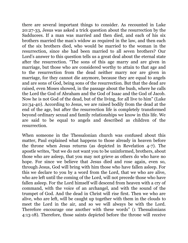there are several important things to consider. As recounted in Luke 20:27-33, Jesus was asked a trick question about the resurrection by the Sadducees. If a man was married and then died, and each of his six brothers married the man's widow as required in the law, and then each of the six brothers died, who would be married to the woman in the resurrection, since she had been married to all seven brothers? Our Lord's answer to this question tells us a great deal about the eternal state after the resurrection. "The sons of this age marry and are given in marriage, but those who are considered worthy to attain to that age and to the resurrection from the dead neither marry nor are given in marriage, for they cannot die anymore, because they are equal to angels and are sons of God, being sons of the resurrection. But that the dead are raised, even Moses showed, in the passage about the bush, where he calls the Lord the God of Abraham and the God of Isaac and the God of Jacob. Now he is not God of the dead, but of the living, for all live to him" (Luke 20:34-40). According to Jesus, we are raised bodily from the dead at the end of the age, but after the resurrection life is completely transformed beyond ordinary sexual and family relationships we know in this life. We are said to be equal to angels and described as children of the resurrection.

When someone in the Thessalonian church was confused about this matter, Paul explained what happens to those already in heaven before the throne when Jesus returns (as depicted in Revelation 4-7). The apostle writes, "but we do not want you to be uninformed, brothers, about those who are asleep, that you may not grieve as others do who have no hope. For since we believe that Jesus died and rose again, even so, through Jesus, God will bring with him those who have fallen asleep. For this we declare to you by a word from the Lord, that we who are alive, who are left until the coming of the Lord, will not precede those who have fallen asleep. For the Lord himself will descend from heaven with a cry of command, with the voice of an archangel, and with the sound of the trumpet of God. And the dead in Christ will rise first. Then we who are alive, who are left, will be caught up together with them in the clouds to meet the Lord in the air, and so we will always be with the Lord. Therefore encourage one another with these words" (1 Thessalonians 4:13-18). Therefore, those saints depicted before the throne will receive